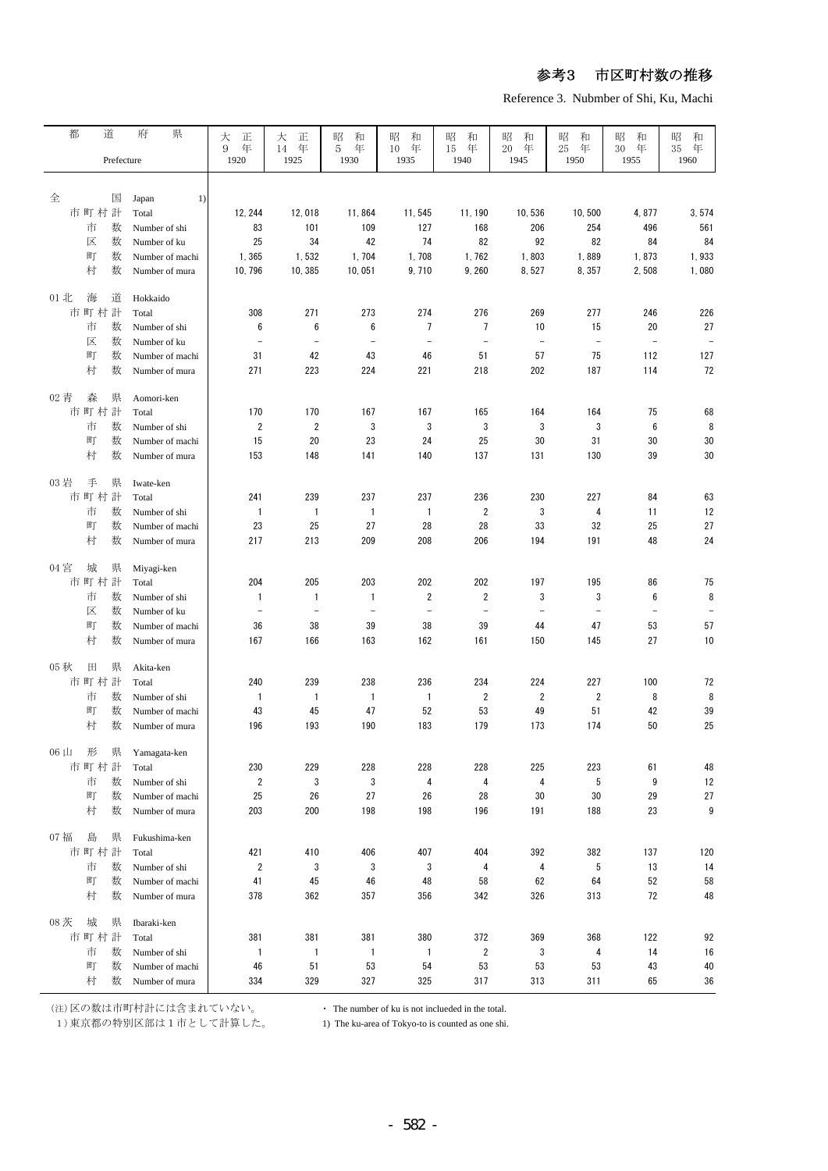Reference 3. Nubmber of Shi, Ku, Machi

| 都    | 道        | 県<br>府               | 大<br>正                   | 大<br>正                   | 和<br>昭                   | 和<br>昭                   | 昭<br>和                   | 昭<br>和                   | 昭<br>和                   | 昭<br>和                   | 昭<br>和                   |
|------|----------|----------------------|--------------------------|--------------------------|--------------------------|--------------------------|--------------------------|--------------------------|--------------------------|--------------------------|--------------------------|
|      |          |                      | 9<br>年                   | 年<br>14                  | 5<br>年                   | 10<br>年                  | 年<br>15                  | 20<br>年                  | $25\,$<br>年              | 30<br>年                  | 35<br>年                  |
|      |          | Prefecture           | 1920                     | 1925                     | 1930                     | 1935                     | 1940                     | 1945                     | 1950                     | 1955                     | 1960                     |
|      |          |                      |                          |                          |                          |                          |                          |                          |                          |                          |                          |
|      |          |                      |                          |                          |                          |                          |                          |                          |                          |                          |                          |
| 全    | 国        | Japan<br>1)          |                          |                          |                          |                          |                          |                          |                          |                          |                          |
|      | 市町村計     | Total                | 12, 244                  | 12,018                   | 11,864                   | 11,545                   | 11, 190                  | 10,536                   | 10,500                   | 4,877                    | 3,574                    |
|      | 数<br>市   | Number of shi        | 83                       | 101                      | 109                      | 127                      | 168                      | 206                      | 254                      | 496                      | 561                      |
|      | 数<br>区   | Number of ku         | 25                       | 34                       | 42                       | 74                       | 82                       | 92                       | 82                       | 84                       | 84                       |
|      | 町<br>数   | Number of machi      | 1,365                    | 1,532                    | 1,704                    | 1,708                    | 1,762                    | 1,803                    | 1,889                    | 1,873                    | 1,933                    |
|      | 村        | 数<br>Number of mura  | 10, 796                  | 10, 385                  | 10,051                   | 9,710                    | 9,260                    | 8,527                    | 8,357                    | 2,508                    | 1,080                    |
|      |          |                      |                          |                          |                          |                          |                          |                          |                          |                          |                          |
| 01 北 | 海<br>道   | Hokkaido             |                          |                          |                          |                          |                          |                          |                          |                          |                          |
|      | 市町村計     | Total                | 308                      | 271                      | 273                      | 274                      | 276                      | 269                      | 277                      | 246                      | 226                      |
|      | 市<br>数   | Number of shi        | 6                        | 6                        | 6                        | 7                        | 7                        | 10                       | 15                       | 20                       | 27                       |
|      | 区<br>数   | Number of ku         | $\qquad \qquad -$        | $\overline{\phantom{a}}$ | $\overline{\phantom{a}}$ | $\overline{\phantom{a}}$ | $\overline{\phantom{a}}$ | $\equiv$                 | $\overline{\phantom{a}}$ | $\equiv$                 | $\overline{\phantom{a}}$ |
|      | 町<br>数   | Number of machi      | 31                       | 42                       | 43                       | 46                       | 51                       | 57                       | 75                       | 112                      | 127                      |
|      | 村<br>数   | Number of mura       | 271                      | 223                      | 224                      | 221                      | 218                      | 202                      | 187                      | 114                      | 72                       |
|      |          |                      |                          |                          |                          |                          |                          |                          |                          |                          |                          |
| 02 青 | 森        | 県<br>Aomori-ken      |                          |                          |                          |                          |                          |                          |                          |                          |                          |
|      | 市町村計     | Total                | 170                      | 170                      | 167                      | 167                      | 165                      | 164                      | 164                      | 75                       | 68                       |
|      | 市<br>数   | Number of shi        | $\overline{\mathbf{c}}$  | 2                        | 3                        | 3                        | 3                        | 3                        | 3                        | $\boldsymbol{6}$         | 8                        |
|      | 町<br>数   | Number of machi      | 15                       | 20                       | 23                       | 24                       | 25                       | 30                       | 31                       | 30                       | 30                       |
|      | 村        | 数<br>Number of mura  | 153                      | 148                      | 141                      | 140                      | 137                      | 131                      | 130                      | 39                       | 30                       |
|      |          |                      |                          |                          |                          |                          |                          |                          |                          |                          |                          |
| 03 岩 | 手<br>県   | Iwate-ken            |                          |                          |                          |                          |                          |                          |                          |                          |                          |
|      | 市町村計     | Total                | 241                      | 239                      | 237                      | 237                      | 236                      | 230                      | 227                      | 84                       | 63                       |
|      | 数<br>市   | Number of shi        | 1                        | $\mathbf{1}$             | $\mathbf{1}$             | $\mathbf{1}$             | $\overline{2}$           | 3                        | 4                        | 11                       | 12                       |
|      | 町<br>数   | Number of machi      | 23                       | 25                       | 27                       | 28                       | 28                       | 33                       | 32                       | 25                       | 27                       |
|      | 村        | 数<br>Number of mura  | 217                      | 213                      | 209                      | 208                      | 206                      | 194                      | 191                      | 48                       | 24                       |
|      |          |                      |                          |                          |                          |                          |                          |                          |                          |                          |                          |
| 04 宮 | 城        | 県<br>Miyagi-ken      |                          |                          |                          |                          |                          |                          |                          |                          |                          |
|      | 市町村計     | Total                | 204                      | 205                      | 203                      | 202                      | 202                      | 197                      | 195                      | 86                       | 75                       |
|      | 市<br>数   | Number of shi        | 1                        | 1                        | $\mathbf{1}$             | $\overline{2}$           | $\overline{\mathbf{c}}$  | 3                        | 3                        | 6                        | 8                        |
|      | 区<br>数   | Number of ku         | $\overline{\phantom{0}}$ | $\overline{\phantom{0}}$ | $\overline{\phantom{m}}$ | $\qquad \qquad -$        | $\qquad \qquad -$        | $\overline{\phantom{a}}$ | $\overline{\phantom{a}}$ | $\overline{\phantom{a}}$ | $\overline{\phantom{a}}$ |
|      | 町        | 数<br>Number of machi | 36                       | 38                       | 39                       | 38                       | 39                       | 44                       | 47                       | 53                       | 57                       |
|      | 村        | 数<br>Number of mura  | 167                      | 166                      | 163                      | 162                      | 161                      | 150                      | 145                      | 27                       | 10                       |
|      |          |                      |                          |                          |                          |                          |                          |                          |                          |                          |                          |
| 05 秋 | 田        | 県<br>Akita-ken       |                          |                          |                          |                          |                          |                          |                          |                          |                          |
|      | 市町村<br>計 | Total                | 240                      | 239                      | 238                      | 236                      | 234                      | 224                      | 227                      | 100                      | 72                       |
|      | 市<br>数   | Number of shi        | 1                        | 1                        | $\mathbf{1}$             | $\mathbf{1}$             | 2                        | 2                        | $\overline{2}$           | 8                        | 8                        |
|      | 町<br>数   | Number of machi      | 43                       | 45                       | 47                       | 52                       | 53                       | 49                       | 51                       | 42                       | 39                       |
|      | 村        | 数<br>Number of mura  | 196                      | 193                      | 190                      | 183                      | 179                      | 173                      | 174                      | 50                       | 25                       |
|      |          |                      |                          |                          |                          |                          |                          |                          |                          |                          |                          |
| 06 山 | 形<br>県   | Yamagata-ken         |                          |                          |                          |                          |                          |                          |                          |                          |                          |
|      | 市町村計     | Total                | 230                      | 229                      | 228                      | 228                      | 228                      | 225                      | 223                      | 61                       | 48                       |
|      | 市<br>数   | Number of shi        | 2                        | 3                        | 3                        | 4                        | 4                        | 4                        | 5                        | 9                        | 12                       |
|      | 町<br>数   | Number of machi      | 25                       | 26                       | 27                       | 26                       | 28                       | 30                       | 30                       | 29                       | 27                       |
|      | 村<br>数   | Number of mura       | 203                      | 200                      | 198                      | 198                      | 196                      | 191                      | 188                      | 23                       | 9                        |
|      |          |                      |                          |                          |                          |                          |                          |                          |                          |                          |                          |
| 07 福 | 島<br>県   | Fukushima-ken        |                          |                          |                          |                          |                          |                          |                          |                          |                          |
|      | 市町村計     | Total                | 421                      | 410                      | 406                      | 407                      | 404                      | 392                      | 382                      | 137                      | 120                      |
|      | 市<br>数   | Number of shi        | $\overline{\mathbf{c}}$  | 3                        | 3                        | 3                        | 4                        | 4                        | 5                        | 13                       | 14                       |
|      | 町<br>数   | Number of machi      | 41                       | 45                       | 46                       | 48                       | 58                       | 62                       | 64                       | 52                       | 58                       |
|      | 村<br>数   | Number of mura       | 378                      | 362                      | 357                      | 356                      | 342                      | 326                      | 313                      | 72                       | 48                       |
|      |          |                      |                          |                          |                          |                          |                          |                          |                          |                          |                          |
| 08 茨 | 城<br>県   | Ibaraki-ken          |                          |                          |                          |                          |                          |                          |                          |                          |                          |
|      | 市町村計     | Total                | 381                      | 381                      | 381                      | 380                      | 372                      | 369                      | 368                      | 122                      | 92                       |
|      | 市<br>数   | Number of shi        | $\mathbf{1}$             | $\mathbf{1}$             | $\overline{1}$           | $\mathbf{1}$             | $\sqrt{2}$               | $\sqrt{3}$               | 4                        | 14                       | 16                       |
|      | 町<br>数   | Number of machi      | 46                       | 51                       | 53                       | 54                       | 53                       | 53                       | 53                       | 43                       | 40                       |
|      | 村        | 数                    | 334                      | 329                      | 327                      | 325                      | 317                      | 313                      | 311                      | 65                       | 36                       |
|      |          | Number of mura       |                          |                          |                          |                          |                          |                          |                          |                          |                          |

(注)区の数は市町村計には含まれていない。

- The number of ku is not inclueded in the total.

東京都の特別区部は1市として計算した。 1) The ku-area of Tokyo-to is counted as one shi. 1)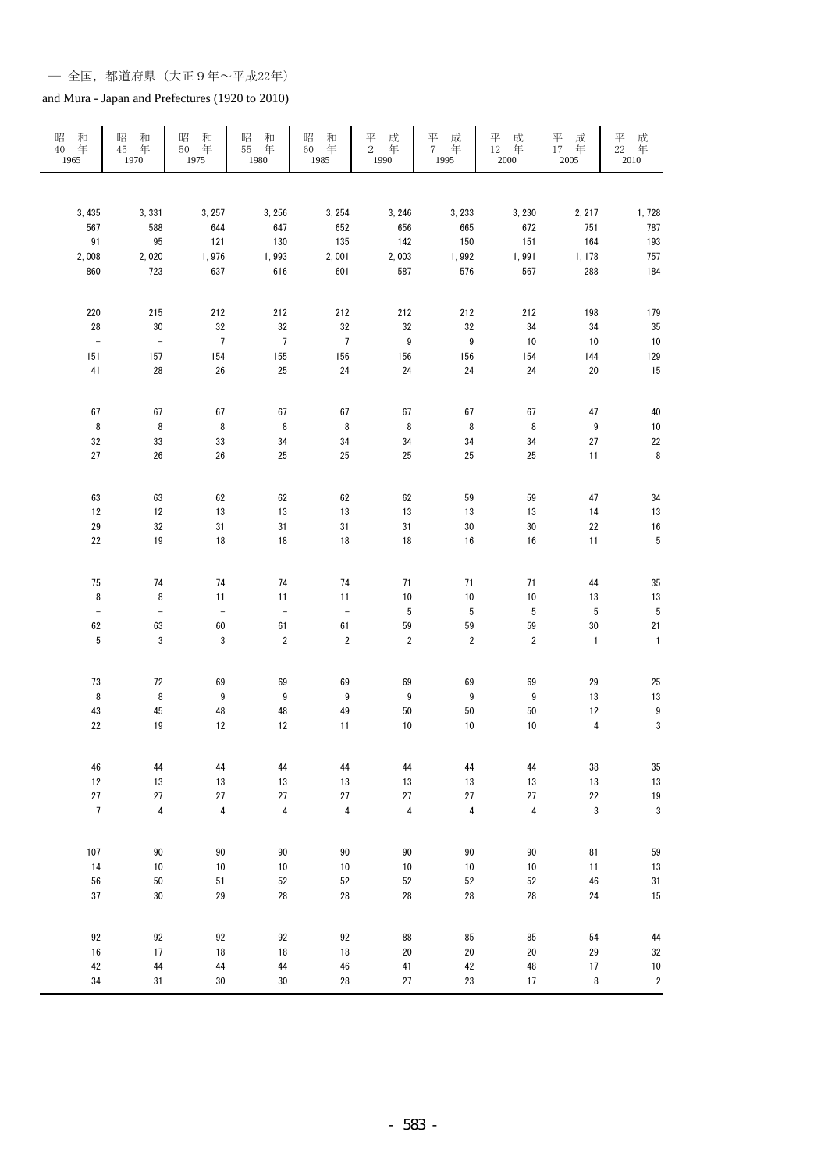#### and Mura - Japan and Prefectures (1920 to 2010)

| 和<br>昭<br>年<br>40<br>1965 | 昭<br>和<br>年<br>45<br>1970 | 昭<br>和<br>50 年<br>1975 | 昭<br>和<br>55<br>年<br>1980 | 昭<br>和<br>年<br>60<br>1985 | 平<br>成<br>$\mathbf{2}$<br>年<br>1990 | 平<br>成<br>7 年<br>1995    | 平<br>成<br>12 年<br>2000       | 平<br>成<br>17 年<br>$2005\,$ | 平<br>成<br>年<br>$22\quad \, \textrm{4}\,$ 4 $\,$ 2010 |
|---------------------------|---------------------------|------------------------|---------------------------|---------------------------|-------------------------------------|--------------------------|------------------------------|----------------------------|------------------------------------------------------|
|                           |                           |                        |                           |                           |                                     |                          |                              |                            |                                                      |
| 3, 435                    | 3,331                     | 3, 257                 | 3, 256                    | 3, 254                    | 3, 246                              | 3, 233                   | 3, 230                       | 2, 217                     | 1,728                                                |
| 567                       | 588                       | 644                    | 647                       | 652                       | 656                                 | 665                      | 672                          | 751                        | 787                                                  |
| 91                        | 95                        | 121                    | 130                       | 135                       | 142                                 | 150                      | 151                          | 164                        | 193                                                  |
| 2,008                     | 2,020                     | 1,976                  | 1,993                     | 2,001                     | 2,003                               | 1,992                    | 1,991                        | 1, 178                     | 757                                                  |
| 860                       | 723                       | 637                    | 616                       | 601                       | 587                                 | 576                      | 567                          | 288                        | 184                                                  |
| 220                       | 215                       | 212                    | 212                       | 212                       | 212                                 | 212                      | 212                          | 198                        | 179                                                  |
| 28                        | $30\,$                    | 32                     | 32                        | 32                        | 32                                  | 32                       | 34                           | 34                         | 35                                                   |
| $\overline{\phantom{a}}$  | $\equiv$                  | $\overline{7}$         | $\overline{7}$            | $\overline{7}$            | $\boldsymbol{9}$                    | $\boldsymbol{9}$         | 10                           | $10$                       | $10$                                                 |
| 151<br>41                 | 157<br>28                 | 154<br>${\bf 26}$      | 155<br>$25\,$             | 156<br>24                 | 156<br>$24\,$                       | 156<br>24                | 154<br>$24\,$                | 144<br>$20\,$              | 129<br>15                                            |
|                           |                           |                        |                           |                           |                                     |                          |                              |                            |                                                      |
| 67                        | 67                        | 67                     | 67                        | 67                        | 67                                  | 67                       | 67                           | 47                         | 40                                                   |
| $\, 8$                    | 8                         | 8                      | $\, 8$                    | $\, 8$                    | $\, 8$                              | 8<br>34                  | 8<br>34                      | $\boldsymbol{9}$           | $10$<br>22                                           |
| 32<br>27                  | 33<br>26                  | 33<br>26               | 34<br>25                  | 34<br>25                  | 34<br>25                            | 25                       | 25                           | 27<br>11                   | $\bf 8$                                              |
|                           |                           |                        |                           |                           |                                     |                          |                              |                            |                                                      |
| 63                        | 63                        | 62                     | 62                        | 62                        | 62                                  | 59                       | 59                           | 47                         | 34                                                   |
| 12                        | 12                        | 13                     | 13                        | 13                        | 13                                  | 13                       | 13                           | 14                         | 13                                                   |
| ${\bf 29}$                | 32                        | 31                     | 31                        | 31                        | 31                                  | $30\,$                   | 30                           | 22                         | 16                                                   |
| 22                        | 19                        | $18\,$                 | 18                        | 18                        | 18                                  | 16                       | $16\,$                       | 11                         | $\sqrt{5}$                                           |
| 75                        | 74                        | 74                     | 74                        | 74                        | 71                                  | 71                       | 71                           | 44                         | 35                                                   |
| 8                         | 8                         | 11                     | 11                        | 11                        | $10\,$                              | $10$                     | $10$                         | 13                         | 13                                                   |
| $\Box$                    | $\blacksquare$            | $\Box$                 | $\equiv$                  | $\Box$                    | $\sqrt{5}$                          | $\sqrt{5}$               | 5                            | 5                          | 5                                                    |
| 62<br>5                   | 63<br>$\sqrt{3}$          | 60<br>$\sqrt{3}$       | 61<br>$\sqrt{2}$          | 61<br>$\overline{2}$      | 59<br>$\overline{2}$                | ${\bf 59}$<br>$\sqrt{2}$ | ${\bf 59}$<br>$\overline{2}$ | 30<br>$\mathbf{1}$         | $21\,$<br>$\mathbf{1}$                               |
|                           |                           |                        |                           |                           |                                     |                          |                              |                            |                                                      |
| 73                        | 72                        | 69                     | 69                        | 69                        | 69                                  | 69                       | 69                           | 29                         | 25                                                   |
| $\bf 8$                   | $\bf 8$                   | 9                      | $\boldsymbol{9}$          | $\boldsymbol{9}$          | $9\,$                               | $\boldsymbol{9}$         | 9                            | 13                         | 13                                                   |
| 43                        | 45                        | 48                     | 48                        | 49                        | 50                                  | 50                       | 50                           | $12\,$                     | $\boldsymbol{9}$                                     |
| $22\,$                    | 19                        | 12                     | 12                        | 11                        | 10                                  | 10                       | $10$                         | $\overline{\mathbf{4}}$    | $\sqrt{3}$                                           |
| 46                        | 44                        | 44                     | 44                        | 44                        | 44                                  | 44                       | 44                           | 38                         | 35                                                   |
| $12\,$                    | 13                        | $13\,$                 | 13                        | $13\,$                    | 13                                  | $13\,$                   | 13                           | $13\,$                     | 13                                                   |
| $27\,$                    | $27\,$                    | $27\,$                 | $27\,$                    | $27\,$                    | $27\,$                              | $27\,$                   | $27\,$                       | $22\,$                     | 19                                                   |
| $\overline{7}$            | $\overline{\mathbf{4}}$   | $\pmb{4}$              | $\overline{\mathbf{4}}$   | $\overline{\mathbf{4}}$   | $\pmb{4}$                           | 4                        | $\pmb{4}$                    | $\mathbf{3}$               | $\sqrt{3}$                                           |
| 107                       | $90\,$                    | 90                     | $90\,$                    | $90\,$                    | $90\,$                              | $90\,$                   | 90                           | 81                         | 59                                                   |
| 14                        | $10$                      | $10$                   | $10\,$                    | 10                        | $10$                                | 10                       | $10\,$                       | 11                         | 13                                                   |
| 56                        | $50\,$                    | 51                     | $52\,$                    | 52                        | 52                                  | 52                       | 52                           | 46                         | $31\,$                                               |
| 37                        | $30\,$                    | ${\bf 29}$             | ${\bf 28}$                | ${\bf 28}$                | 28                                  | 28                       | ${\bf 28}$                   | $24\,$                     | 15                                                   |
| 92                        | 92                        | 92                     | $92\,$                    | 92                        | 88                                  | 85                       | 85                           | ${\bf 54}$                 | 44                                                   |
| $16$                      | $17$                      | $18\,$                 | $18\,$                    | 18                        | $20\,$                              | $20\,$                   | 20                           | 29                         | 32                                                   |
| 42                        | 44                        | 44                     | 44                        | 46                        | 41                                  | 42                       | 48                           | 17                         | 10                                                   |
| 34                        | 31                        | $30\,$                 | 30                        | 28                        | $27\,$                              | 23                       | 17                           | $\bf 8$                    | $\overline{\mathbf{c}}$                              |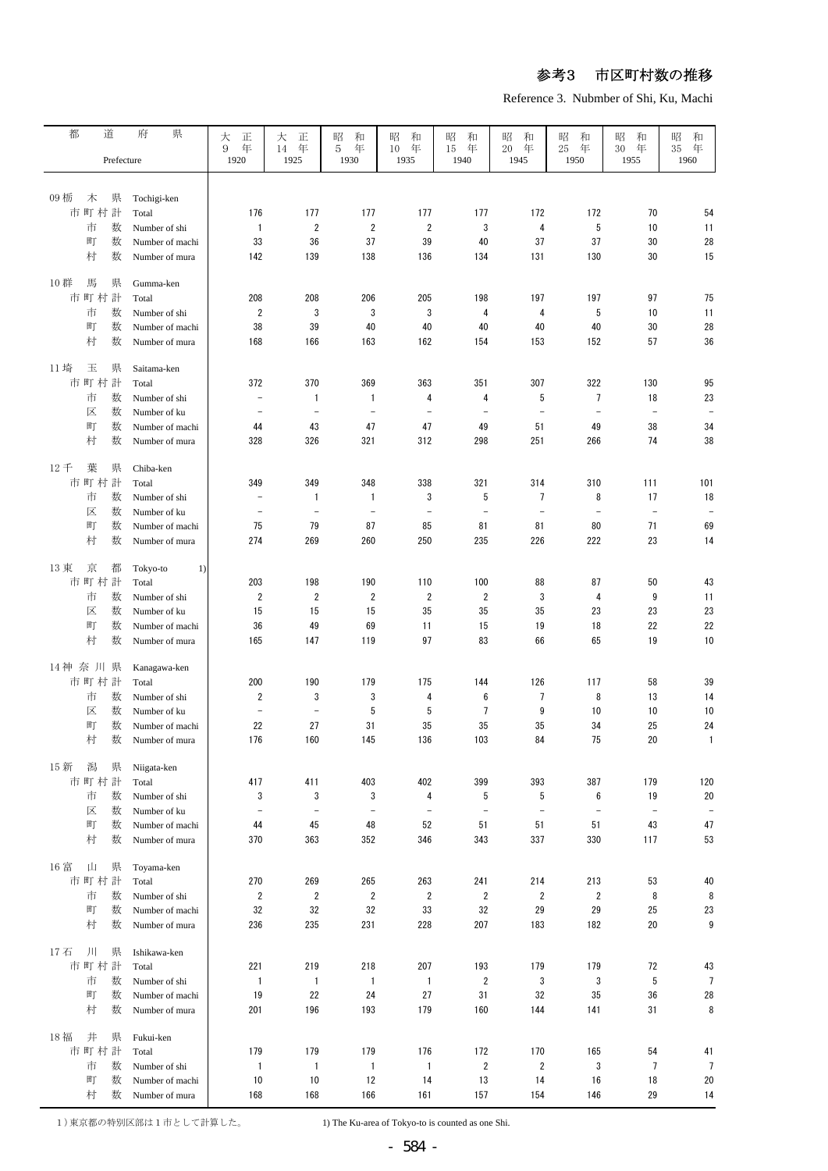Reference 3. Nubmber of Shi, Ku, Machi

| 都<br>道                 | 県<br>府          |                          |                          |                          |                          |                          |                          |                          |                          |                          |
|------------------------|-----------------|--------------------------|--------------------------|--------------------------|--------------------------|--------------------------|--------------------------|--------------------------|--------------------------|--------------------------|
|                        |                 | 大<br>正<br>年<br>9         | 大<br>正<br>14<br>年        | 昭<br>和<br>年<br>5         | 昭<br>和<br>年<br>10        | 和<br>昭<br>年<br>15        | 昭<br>和<br>20<br>年        | 昭<br>和<br>年<br>25        | 昭<br>和<br>年<br>30        | 昭<br>和<br>年<br>35        |
| Prefecture             |                 | 1920                     | 1925                     | 1930                     | 1935                     | 1940                     | 1945                     | 1950                     | 1955                     | 1960                     |
|                        |                 |                          |                          |                          |                          |                          |                          |                          |                          |                          |
|                        |                 |                          |                          |                          |                          |                          |                          |                          |                          |                          |
| 09 栃<br>木<br>県         | Tochigi-ken     |                          |                          |                          |                          |                          |                          |                          |                          |                          |
| 市町村計                   | Total           | 176                      | 177                      | 177                      | 177                      | 177                      | 172                      | 172                      | 70                       | 54                       |
| 市<br>数                 | Number of shi   | $\mathbf{1}$             | $\overline{2}$           | $\overline{2}$           | 2                        | 3                        | 4                        | 5                        | 10                       | 11                       |
| 町<br>数                 | Number of machi | 33                       | 36                       | 37                       | 39                       | 40                       | 37                       | 37                       | 30                       | 28                       |
| 村<br>数                 | Number of mura  | 142                      | 139                      | 138                      | 136                      | 134                      | 131                      | 130                      | 30                       | 15                       |
|                        |                 |                          |                          |                          |                          |                          |                          |                          |                          |                          |
| 10 群<br>馬<br>県         | Gumma-ken       |                          |                          |                          |                          |                          |                          |                          |                          |                          |
| 市町村計                   | Total           | 208                      | 208                      | 206                      | 205                      | 198                      | 197                      | 197                      | 97                       | 75                       |
| 市<br>数                 | Number of shi   | $\overline{2}$           | 3                        | 3                        | 3                        | 4                        | 4                        | 5                        | 10                       | 11                       |
| 町<br>数                 | Number of machi | 38                       | 39                       | 40                       | 40                       | 40                       | 40                       | 40                       | 30                       | 28                       |
| 村<br>数                 | Number of mura  | 168                      | 166                      | 163                      | 162                      | 154                      | 153                      | 152                      | 57                       | 36                       |
|                        |                 |                          |                          |                          |                          |                          |                          |                          |                          |                          |
| 11 埼<br>玉<br>県         | Saitama-ken     |                          |                          |                          |                          |                          |                          |                          |                          |                          |
| 市町村計                   | Total           | 372                      | 370                      | 369                      | 363                      | 351                      | 307                      | 322                      | 130                      | 95                       |
| 市<br>数                 | Number of shi   | $\overline{\phantom{0}}$ | 1                        | 1                        | 4                        | 4                        | 5                        | 7                        | 18                       | 23                       |
| 区<br>数                 | Number of ku    | $\overline{\phantom{0}}$ | $\qquad \qquad -$        | $\overline{\phantom{0}}$ | $\overline{\phantom{a}}$ | $\overline{\phantom{a}}$ | $\overline{\phantom{a}}$ | $\overline{\phantom{m}}$ | $\qquad \qquad -$        | $\overline{\phantom{a}}$ |
| 町<br>数                 | Number of machi | 44                       | 43                       | 47                       | 47                       | 49                       | 51                       | 49                       | 38                       | 34                       |
| 村<br>数                 | Number of mura  | 328                      | 326                      | 321                      | 312                      | 298                      | 251                      | 266                      | 74                       | 38                       |
|                        |                 |                          |                          |                          |                          |                          |                          |                          |                          |                          |
| 12千<br>葉<br>県          | Chiba-ken       |                          |                          |                          |                          |                          |                          |                          |                          |                          |
| 市町村計                   | Total           | 349                      | 349                      | 348                      | 338                      | 321                      | 314                      | 310                      | 111                      | 101                      |
| 数<br>市                 | Number of shi   | $\overline{\phantom{0}}$ | 1                        | $\mathbf{1}$             | 3                        | 5                        | 7                        | 8                        | 17                       | 18                       |
| 区<br>数                 | Number of ku    | $\overline{\phantom{0}}$ | $\overline{a}$           | $\overline{\phantom{0}}$ | $\overline{\phantom{a}}$ | $\overline{\phantom{a}}$ | $\equiv$                 | $\overline{\phantom{m}}$ | $\overline{a}$           |                          |
| 町<br>数                 | Number of machi | 75                       | 79                       | 87                       | 85                       | 81                       | 81                       | 80                       | 71                       | 69                       |
| 村<br>数                 | Number of mura  | 274                      | 269                      | 260                      | 250                      | 235                      | 226                      | 222                      | 23                       | 14                       |
|                        |                 |                          |                          |                          |                          |                          |                          |                          |                          |                          |
| 13 東<br>京<br>都         | Tokyo-to<br>1)  |                          |                          |                          |                          |                          |                          |                          |                          |                          |
| 市町村計                   | Total           | 203                      | 198                      | 190                      | 110                      | 100                      | 88                       | 87                       | 50                       | 43                       |
| 市<br>数                 | Number of shi   | $\overline{2}$           | 2                        | $\overline{2}$           | $\overline{2}$           | $\overline{2}$           | 3                        | 4                        | 9                        | 11                       |
| 区<br>数                 | Number of ku    | 15                       | 15                       | 15                       | 35                       | 35                       | 35                       | 23                       | 23                       | 23                       |
| 町<br>数                 | Number of machi | 36                       | 49                       | 69                       | 11                       | 15                       | 19                       | 18                       | 22                       | 22                       |
| 村<br>数                 | Number of mura  | 165                      | 147                      | 119                      | 97                       | 83                       | 66                       | 65                       | 19                       | 10                       |
|                        |                 |                          |                          |                          |                          |                          |                          |                          |                          |                          |
| 14神奈川県                 | Kanagawa-ken    |                          |                          |                          |                          |                          |                          |                          |                          |                          |
| 市町村計                   | Total           | 200                      | 190                      | 179                      | 175                      | 144                      | 126                      | 117                      | 58                       | 39                       |
| 数<br>市                 | Number of shi   | $\overline{2}$           | 3                        | 3                        | 4                        | 6                        | 7                        | 8                        | 13                       | 14                       |
| 数<br>区                 | Number of ku    | $\overline{\phantom{a}}$ | $\overline{\phantom{a}}$ | 5                        | 5                        | $\overline{7}$           | 9                        | 10                       | 10                       | 10                       |
| 町<br>数                 | Number of machi | 22                       | 27                       | 31                       | 35                       | 35                       | 35                       | 34                       | 25                       | 24                       |
| 村<br>数                 | Number of mura  | 176                      | 160                      | 145                      | 136                      | 103                      | 84                       | 75                       | 20                       | $\mathbf{1}$             |
|                        |                 |                          |                          |                          |                          |                          |                          |                          |                          |                          |
| 15 新<br>潟<br>県<br>市町村計 | Niigata-ken     |                          |                          |                          |                          |                          |                          |                          |                          |                          |
|                        | Total           | 417                      | 411                      | 403                      | 402                      | 399                      | 393                      | 387                      | 179                      | 120                      |
| 市<br>数                 | Number of shi   | 3                        | 3                        | 3                        | 4                        | 5                        | 5                        | 6                        | 19                       | 20                       |
| 区<br>数                 | Number of ku    | $\overline{a}$           | $\overline{\phantom{a}}$ | $\overline{\phantom{m}}$ | $\equiv$                 | $\equiv$                 | $\overline{\phantom{a}}$ | $\overline{\phantom{a}}$ | $\overline{\phantom{a}}$ |                          |
| 町<br>数                 | Number of machi | 44                       | 45                       | 48                       | 52                       | 51                       | 51                       | 51                       | 43                       | 47                       |
| 村<br>数                 | Number of mura  | 370                      | 363                      | 352                      | 346                      | 343                      | 337                      | 330                      | 117                      | 53                       |
| 16 富<br>山<br>県         | Toyama-ken      |                          |                          |                          |                          |                          |                          |                          |                          |                          |
| 市町村計                   | Total           | 270                      | 269                      | 265                      | 263                      | 241                      | 214                      | 213                      | 53                       | 40                       |
| 市<br>数                 |                 |                          |                          |                          |                          |                          |                          |                          | 8                        | 8                        |
|                        | Number of shi   | $\overline{2}$           | $\overline{2}$           | $\overline{2}$           | $\overline{2}$           | $\overline{2}$           | $\overline{2}$           | $\overline{2}$           |                          |                          |
| 町<br>数                 | Number of machi | 32                       | 32                       | 32                       | 33                       | 32                       | 29                       | 29                       | 25                       | 23                       |
| 村<br>数                 | Number of mura  | 236                      | 235                      | 231                      | 228                      | 207                      | 183                      | 182                      | 20                       | 9                        |
| ЛI<br>17石<br>県         | Ishikawa-ken    |                          |                          |                          |                          |                          |                          |                          |                          |                          |
| 市町村計                   |                 | 221                      | 219                      |                          | 207                      | 193                      |                          |                          | 72                       | 43                       |
|                        | Total           |                          |                          | 218                      |                          |                          | 179                      | 179                      |                          |                          |
| 市<br>数                 | Number of shi   | $\mathbf{1}$             | $\mathbf{1}$             | $\mathbf{1}$             | $\overline{1}$           | $\overline{2}$           | 3                        | 3                        | 5                        | $\overline{7}$           |
| 町<br>数                 | Number of machi | 19                       | 22                       | 24                       | 27                       | 31                       | 32                       | 35                       | 36                       | 28                       |
| 村<br>数                 | Number of mura  | 201                      | 196                      | 193                      | 179                      | 160                      | 144                      | 141                      | 31                       | 8                        |
| 18福<br>井<br>県          | Fukui-ken       |                          |                          |                          |                          |                          |                          |                          |                          |                          |
| 市町村計                   | Total           | 179                      | 179                      | 179                      | 176                      | 172                      | 170                      | 165                      | 54                       | 41                       |
| 市                      |                 | $\mathbf{1}$             | 1                        |                          | $\mathbf{1}$             |                          | $\overline{2}$           | 3                        | $\overline{7}$           | $\overline{7}$           |
| 数<br>町<br>数            | Number of shi   |                          |                          | 1                        |                          | $\overline{2}$<br>13     | 14                       |                          |                          |                          |
|                        | Number of machi | 10                       | 10                       | 12                       | 14                       |                          |                          | 16                       | 18                       | 20                       |
| 村<br>数                 | Number of mura  | 168                      | 168                      | 166                      | 161                      | 157                      | 154                      | 146                      | 29                       | 14                       |

1) 東京都の特別区部は1市として計算した。

1) The Ku-area of Tokyo-to is counted as one Shi.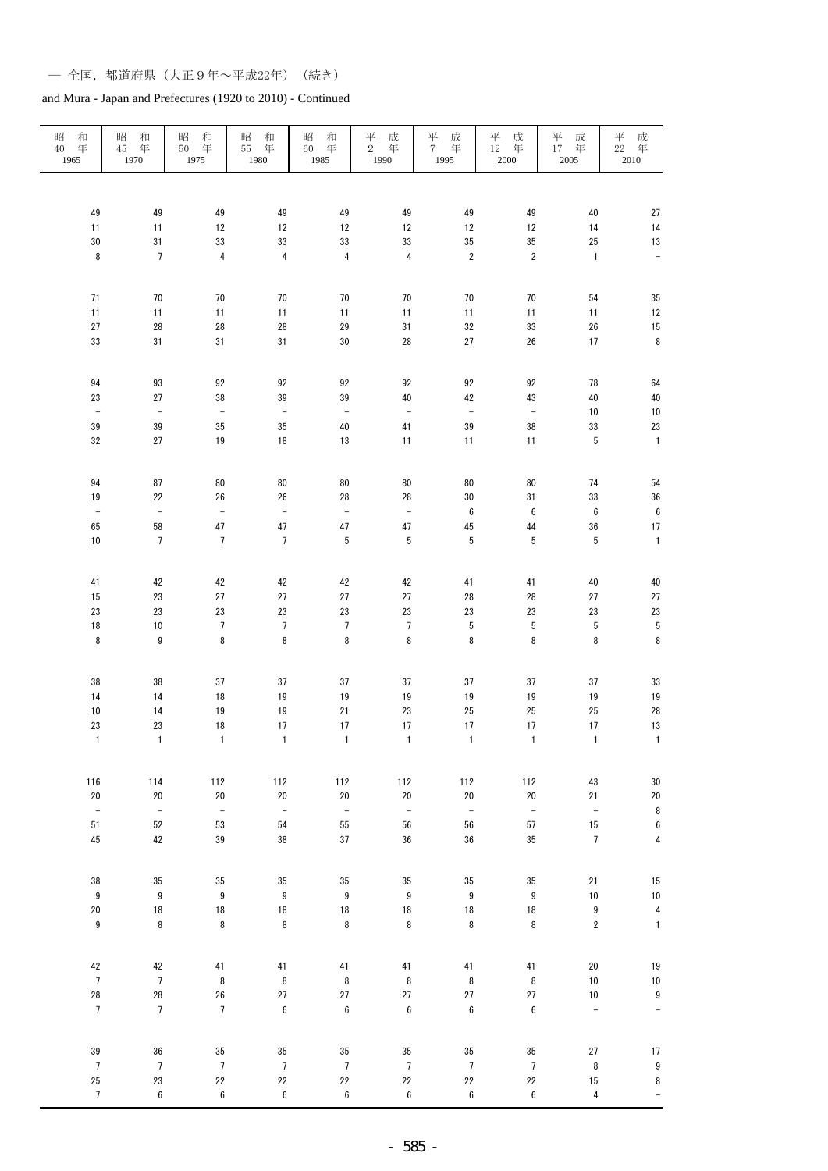| 昭<br>和<br>$40\,$<br>年<br>1965 | 昭<br>和<br>年<br>45<br>1970     | 昭<br>和<br>年<br>$50\,$<br>1975  | 和<br>昭<br>年<br>$55\,$<br>1980  | 昭<br>和<br>$60\,$<br>年<br>1985 | 平<br>成<br>$\overline{2}$<br>年<br>1990 | $\frac{\overline{17}}{7}$<br>成<br>年<br>1995 | 成<br>$_{12}^{\Xi\prime}$<br>年<br>$2000\,$ | 平<br>成<br>年<br>17<br>$2005\,$ | 成年<br>平<br>$22\,$<br>2010 |
|-------------------------------|-------------------------------|--------------------------------|--------------------------------|-------------------------------|---------------------------------------|---------------------------------------------|-------------------------------------------|-------------------------------|---------------------------|
|                               |                               |                                |                                |                               |                                       |                                             |                                           |                               |                           |
| 49                            | 49                            | 49                             | 49                             | 49                            | 49                                    | 49                                          | 49                                        | 40                            | 27                        |
| 11                            | 11                            | $12\,$                         | 12                             | 12                            | $12\,$                                | 12                                          | 12                                        | 14                            | 14                        |
| $30\,$                        | 31                            | $33\,$                         | $33\,$                         | 33                            | 33                                    | 35                                          | $35\,$                                    | $25\,$                        | 13                        |
| $\bf 8$                       | $\boldsymbol{7}$              | $\overline{\mathbf{4}}$        | $\pmb{4}$                      | $\overline{\mathbf{4}}$       | $\overline{\mathbf{4}}$               | $\sqrt{2}$                                  | $\sqrt{2}$                                | $\mathbf{1}$                  | ÷                         |
| 71                            | 70                            | 70                             | 70                             | 70                            | 70                                    | 70                                          | 70                                        | 54                            | 35                        |
| 11                            | 11                            | 11                             | 11                             | 11                            | 11                                    | 11                                          | 11                                        | 11                            | 12                        |
| $27\,$                        | 28                            | ${\bf 28}$                     | 28                             | 29                            | $31\,$                                | 32                                          | $33\,$                                    | $26\,$                        | 15                        |
| $33\,$                        | 31                            | 31                             | 31                             | $30\,$                        | ${\bf 28}$                            | $27\,$                                      | ${\bf 26}$                                | $17$                          | $\bf 8$                   |
| 94                            | 93                            | 92                             | 92                             | 92                            | 92                                    | $92\,$                                      | 92                                        | 78                            | 64                        |
| 23                            | 27                            | 38                             | 39                             | 39                            | 40                                    | 42                                          | 43                                        | 40                            | 40                        |
| $\equiv$                      | $\blacksquare$                | $\equiv$                       | $\bar{\phantom{a}}$            | $\equiv$                      | $\qquad \qquad -$                     | $\bar{\phantom{a}}$                         | $\equiv$                                  | $10$                          | $10$                      |
| 39                            | 39                            | $35\,$                         | $35\,$                         | 40                            | 41                                    | 39                                          | $38\,$                                    | 33                            | 23                        |
| 32                            | 27                            | $19\,$                         | $18\,$                         | 13                            | 11                                    | 11                                          | 11                                        | 5                             | $\overline{1}$            |
|                               |                               |                                |                                |                               |                                       |                                             |                                           |                               |                           |
| 94                            | 87                            | 80                             | 80                             | 80                            | 80                                    | 80                                          | 80                                        | 74                            | 54                        |
| 19                            | 22                            | 26                             | 26                             | 28                            | 28                                    | $30\,$                                      | $31\,$                                    | 33                            | 36                        |
| $\frac{1}{\sqrt{2}}$          | $\bar{\phantom{a}}$           | $\equiv$                       | $\frac{1}{\sqrt{2}}$           | $\blacksquare$                | $\equiv$                              | $\boldsymbol{6}$                            | $\boldsymbol{6}$                          | $\boldsymbol{6}$              | $\bf 6$                   |
| 65                            | 58                            | $47\,$                         | $47\,$                         | $47\,$                        | $47\,$                                | $45\,$                                      | 44                                        | 36                            | 17                        |
| $10$                          | $\overline{7}$                | $\overline{7}$                 | $\overline{7}$                 | $\sqrt{5}$                    | 5                                     | 5                                           | $\sqrt{5}$                                | 5                             | $\mathbf 1$               |
| 41                            | 42                            | 42                             | 42                             | 42                            | 42                                    | 41                                          | 41                                        | 40                            | 40                        |
| 15                            | 23                            | 27                             | $27\,$                         | 27                            | 27                                    | 28                                          | 28                                        | $27\,$                        | 27                        |
| 23                            | 23                            | $23\,$                         | $23\,$                         | 23                            | 23                                    | $23\,$                                      | 23                                        | $23\,$                        | 23                        |
| $18\,$                        | $10\,$                        | $\sqrt{ }$                     | $\overline{7}$                 | $\overline{7}$                | $\boldsymbol{7}$                      | $\sqrt{5}$                                  | $\sqrt{5}$                                | $\sqrt{5}$                    | $\sqrt{5}$                |
| 8                             | $\boldsymbol{9}$              | 8                              | 8                              | $\bf 8$                       | 8                                     | $\bf 8$                                     | $\bf 8$                                   | $\, 8$                        | $\bf 8$                   |
| 38                            | 38                            | $37\,$                         | 37                             | $37\,$                        | 37                                    | 37                                          | 37                                        | 37                            | 33                        |
| 14                            | 14                            | 18                             | 19                             | 19                            | $19$                                  | 19                                          | 19                                        | $19$                          | 19                        |
| 10                            | 14                            | $19$                           | 19                             | $21\,$                        | $23\,$                                | 25                                          | 25                                        | $25\,$                        | 28                        |
| 23                            | 23                            | 18                             | 17                             | 17                            | $17\,$                                | 17                                          | 17                                        | $17$                          | 13                        |
| $\mathbf{1}$                  | $\mathbf{1}$                  | $\mathbf{1}$                   | $\mathbf{1}$                   | $\mathbf{1}$                  | $\mathbf{1}$                          | $\mathbf{1}$                                | $\mathbf{1}$                              | $\mathbf{1}$                  | $\mathbf{1}$              |
|                               |                               |                                |                                |                               |                                       |                                             |                                           |                               |                           |
| 116                           | 114                           | 112                            | 112                            | 112                           | 112                                   | 112                                         | 112                                       | $43\,$                        | 30                        |
| $20\,$<br>$\bar{\phantom{a}}$ | $20\,$<br>$\bar{\phantom{a}}$ | $20\,$<br>$\frac{1}{\sqrt{2}}$ | $20\,$<br>$\frac{1}{\sqrt{2}}$ | $20\,$<br>$\bar{\phantom{a}}$ | $20\,$<br>$\equiv$                    | $20\,$<br>$\bar{\phantom{a}}$               | $20\,$<br>$\bar{\phantom{a}}$             | 21<br>$\blacksquare$          | $20\,$<br>8               |
| 51                            | 52                            | 53                             | 54                             | 55                            | 56                                    | 56                                          | ${\bf 57}$                                | 15                            | $\boldsymbol{6}$          |
| 45                            | 42                            | $39\,$                         | $38\,$                         | 37                            | $36\,$                                | $36\,$                                      | $35\,$                                    | $\overline{7}$                | $\pmb{4}$                 |
|                               |                               |                                |                                |                               |                                       |                                             |                                           |                               |                           |
| 38                            | $35\,$                        | $35\,$                         | $35\,$                         | 35                            | 35                                    | $35\,$                                      | $35\,$                                    | 21                            | 15                        |
| $\boldsymbol{9}$              | $\boldsymbol{9}$              | 9                              | $\boldsymbol{9}$               | $\boldsymbol{9}$              | $\boldsymbol{9}$                      | $\boldsymbol{9}$                            | $\boldsymbol{9}$                          | $10$                          | 10                        |
| $20\,$                        | $18\,$                        | $18\,$                         | 18                             | $18\,$                        | $18\,$                                | 18                                          | $18\,$                                    | $\boldsymbol{9}$              | $\overline{\mathbf{4}}$   |
| $\boldsymbol{9}$              | $\bf 8$                       | 8                              | $\bf 8$                        | $\bf 8$                       | 8                                     | 8                                           | $\bf 8$                                   | $\sqrt{2}$                    | $\mathbf{1}$              |
| 42                            | 42                            | $41\,$                         | 41                             | 41                            | 41                                    | 41                                          | 41                                        | $20\,$                        | 19                        |
| $\overline{7}$                | $\overline{7}$                | 8                              | $\bf 8$                        | $\, 8$                        | 8                                     | $\, 8$                                      | $\bf 8$                                   | $10$                          | $10$                      |
| ${\bf 28}$                    | ${\bf 28}$                    | ${\bf 26}$                     | $27\,$                         | $27\,$                        | $27\,$                                | $27\,$                                      | $27\,$                                    | $10$                          | $\boldsymbol{9}$          |
| $\overline{7}$                | $\overline{7}$                | $\overline{7}$                 | $\boldsymbol{6}$               | $\boldsymbol{6}$              | $\boldsymbol{6}$                      | $\boldsymbol{6}$                            | $\boldsymbol{6}$                          | ÷,                            | ÷                         |
| 39                            | 36                            | $35\,$                         | 35                             | 35                            | 35                                    | 35                                          | 35                                        | 27                            | 17                        |
| $\overline{7}$                | $\sqrt{ }$                    | $\sqrt{ }$                     | $\overline{7}$                 | $\sqrt{ }$                    | $\boldsymbol{7}$                      | $\overline{7}$                              | $\sqrt{ }$                                | 8                             | $\boldsymbol{9}$          |
| $25\,$                        | 23                            | $22\,$                         | 22                             | $22\,$                        | $22\,$                                | $22\,$                                      | $22\,$                                    | 15                            | 8                         |
| $\overline{7}$                | $\boldsymbol{6}$              | 6                              | $\boldsymbol{6}$               | $\bf 6$                       | $\bf 6$                               | $\boldsymbol{6}$                            | $\bf 6$                                   | $\pmb{4}$                     | $\equiv$                  |
|                               |                               |                                |                                |                               |                                       |                                             |                                           |                               |                           |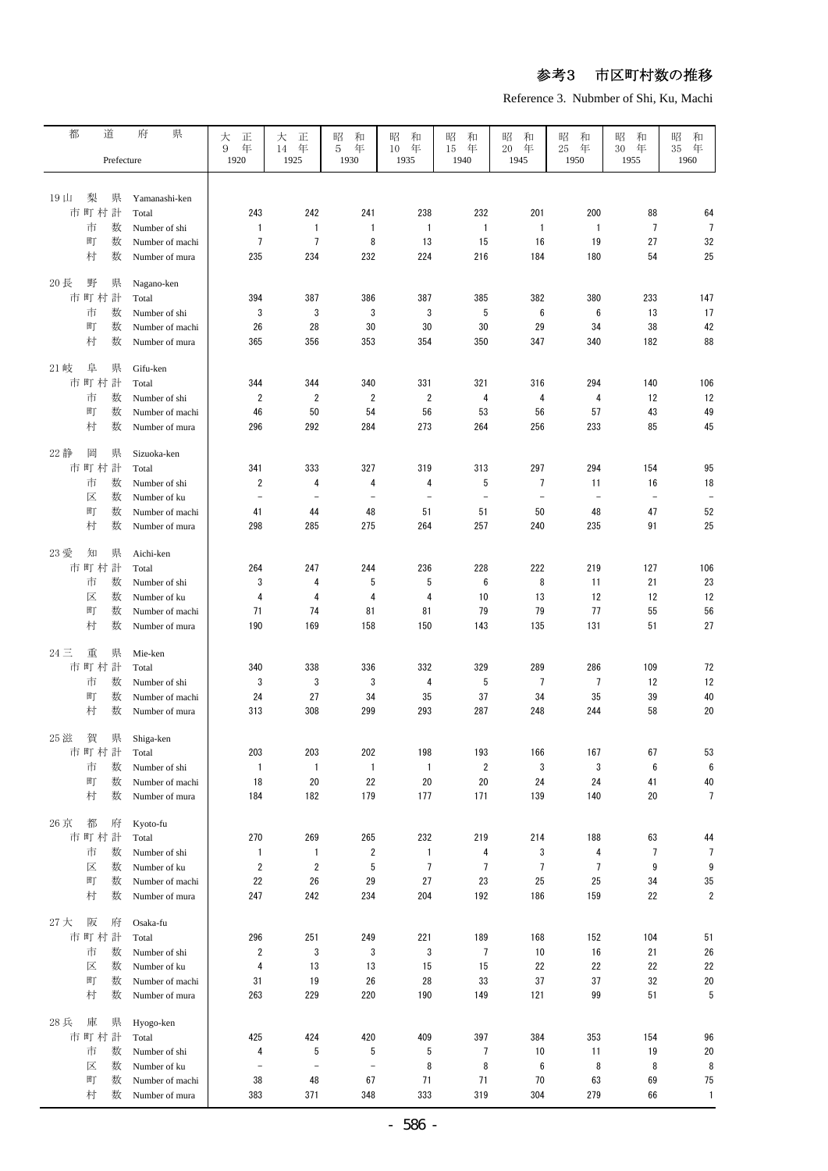Reference 3. Nubmber of Shi, Ku, Machi

| 都                 | 道                | 府<br>県                            | 大<br>正               | 大<br>正                         | 昭<br>和                   | 昭<br>和                   | 昭<br>和                   | 昭<br>和                   | 昭<br>和                   | 昭<br>和                   | 昭<br>和                   |
|-------------------|------------------|-----------------------------------|----------------------|--------------------------------|--------------------------|--------------------------|--------------------------|--------------------------|--------------------------|--------------------------|--------------------------|
|                   | Prefecture       |                                   | 年<br>9<br>1920       | 年<br>14<br>1925                | 年<br>5<br>1930           | 10<br>年<br>1935          | 年<br>15<br>1940          | 年<br>20<br>1945          | 年<br>25<br>1950          | 年<br>30<br>1955          | 年<br>35<br>1960          |
|                   |                  |                                   |                      |                                |                          |                          |                          |                          |                          |                          |                          |
| $19 \text{ } \mu$ | 梨<br>県           | Yamanashi-ken                     |                      |                                |                          |                          |                          |                          |                          |                          |                          |
|                   | 市町村計             | Total                             | 243                  | 242                            | 241                      | 238                      | 232                      | 201                      | 200                      | 88                       | 64                       |
|                   | 数<br>市<br>町<br>数 | Number of shi                     | 1<br>$\overline{7}$  | $\mathbf{1}$<br>$\overline{7}$ | 1<br>8                   | $\mathbf{1}$             | $\mathbf{1}$             | $\mathbf{1}$             | $\mathbf{1}$             | $\overline{7}$<br>27     | $\overline{7}$<br>32     |
|                   | 村<br>数           | Number of machi                   | 235                  |                                |                          | 13<br>224                | 15                       | 16<br>184                | 19<br>180                |                          | 25                       |
|                   |                  | Number of mura                    |                      | 234                            | 232                      |                          | 216                      |                          |                          | 54                       |                          |
| 20長               | 野<br>県           | Nagano-ken                        |                      |                                |                          |                          |                          |                          |                          |                          |                          |
|                   | 市町村計             | Total                             | 394                  | 387                            | 386                      | 387                      | 385                      | 382                      | 380                      | 233                      | 147                      |
|                   | 市<br>数           | Number of shi                     | 3                    | 3                              | 3                        | 3                        | 5                        | $\boldsymbol{6}$         | 6                        | 13                       | 17                       |
|                   | 町<br>数           | Number of machi                   | 26                   | 28                             | 30                       | 30                       | 30                       | 29                       | 34                       | 38                       | 42                       |
|                   | 村<br>数           | Number of mura                    | 365                  | 356                            | 353                      | 354                      | 350                      | 347                      | 340                      | 182                      | 88                       |
| 21 岐              | 阜<br>県           | Gifu-ken                          |                      |                                |                          |                          |                          |                          |                          |                          |                          |
|                   | 市町村計             | Total                             | 344                  | 344                            | 340                      | 331                      | 321                      | 316                      | 294                      | 140                      | 106                      |
|                   | 市<br>数           | Number of shi                     | $\overline{2}$       | 2                              | $\overline{2}$           | $\overline{2}$           | 4                        | 4                        | 4                        | 12                       | 12                       |
|                   | 数<br>町           | Number of machi                   | 46                   | 50                             | 54                       | 56                       | 53                       | 56                       | 57                       | 43                       | 49                       |
|                   | 村<br>数           | Number of mura                    | 296                  | 292                            | 284                      | 273                      | 264                      | 256                      | 233                      | 85                       | 45                       |
|                   |                  |                                   |                      |                                |                          |                          |                          |                          |                          |                          |                          |
| 22 静              | 岡<br>県           | Sizuoka-ken                       |                      |                                |                          |                          |                          |                          |                          |                          |                          |
|                   | 市町村計             | Total                             | 341                  | 333                            | 327                      | 319                      | 313                      | 297                      | 294                      | 154                      | 95                       |
|                   | 数<br>市           | Number of shi                     | $\overline{2}$       | 4                              | 4                        | 4                        | 5                        | $\overline{7}$           | 11                       | 16                       | 18                       |
|                   | 数<br>区<br>数      | Number of ku                      | $\overline{a}$       | $\overline{\phantom{0}}$       | $\overline{\phantom{0}}$ | $\overline{\phantom{m}}$ | $\overline{\phantom{m}}$ | $\overline{\phantom{a}}$ | $\overline{\phantom{a}}$ | $\overline{\phantom{a}}$ | $\overline{\phantom{0}}$ |
|                   | 町<br>村<br>数      | Number of machi<br>Number of mura | 41<br>298            | 44<br>285                      | 48<br>275                | 51<br>264                | 51<br>257                | 50<br>240                | 48<br>235                | 47<br>91                 | 52<br>25                 |
|                   |                  |                                   |                      |                                |                          |                          |                          |                          |                          |                          |                          |
| 23 愛              | 知<br>県           | Aichi-ken                         |                      |                                |                          |                          |                          |                          |                          |                          |                          |
|                   | 市町村計             | Total                             | 264                  | 247                            | 244                      | 236                      | 228                      | 222                      | 219                      | 127                      | 106                      |
|                   | 数<br>市           | Number of shi                     | 3                    | 4                              | 5                        | 5                        | 6                        | 8                        | 11                       | 21                       | 23                       |
|                   | 区<br>数           | Number of ku                      | 4                    | 4                              | 4                        | 4                        | 10                       | 13                       | 12                       | 12                       | 12                       |
|                   | 町<br>数           | Number of machi                   | 71                   | 74                             | 81                       | 81                       | 79                       | 79                       | 77                       | 55                       | 56                       |
|                   | 村<br>数           | Number of mura                    | 190                  | 169                            | 158                      | 150                      | 143                      | 135                      | 131                      | 51                       | 27                       |
| $24 \equiv$       | 重<br>県           | Mie-ken                           |                      |                                |                          |                          |                          |                          |                          |                          |                          |
|                   | 市町村計             | Total                             | 340                  | 338                            | 336                      | 332                      | 329                      | 289                      | 286                      | 109                      | 72                       |
|                   | 数<br>市           | Number of shi                     | 3                    | 3                              | 3                        | 4                        | 5                        | 7                        | 7                        | 12                       | 12                       |
|                   | 町<br>数           | Number of machi                   | 24                   | 27                             | 34                       | 35                       | 37                       | 34                       | 35                       | 39                       | 40                       |
|                   | 村<br>数           | Number of mura                    | 313                  | 308                            | 299                      | 293                      | 287                      | 248                      | 244                      | 58                       | 20                       |
| 25 滋              | 賀<br>県           | Shiga-ken                         |                      |                                |                          |                          |                          |                          |                          |                          |                          |
|                   | 市町村計             | Total                             | 203                  | 203                            | 202                      | 198                      | 193                      | 166                      | 167                      | 67                       | 53                       |
|                   | 市<br>数           | Number of shi                     | $\mathbf{1}$         | 1                              | $\mathbf{1}$             | $\mathbf{1}$             | $\overline{2}$           | 3                        | 3                        | $\boldsymbol{6}$         | $\boldsymbol{6}$         |
|                   | 町<br>数           | Number of machi                   | 18                   | 20                             | 22                       | 20                       | 20                       | 24                       | 24                       | 41                       | 40                       |
|                   | 村<br>数           | Number of mura                    | 184                  | 182                            | 179                      | 177                      | 171                      | 139                      | 140                      | 20                       | $7\phantom{.0}$          |
|                   |                  |                                   |                      |                                |                          |                          |                          |                          |                          |                          |                          |
| 26 京              | 都<br>府           | Kyoto-fu                          |                      |                                |                          |                          |                          |                          |                          |                          |                          |
|                   | 市町村計             | Total                             | 270                  | 269                            | 265                      | 232                      | 219                      | 214                      | 188                      | 63                       | 44                       |
|                   | 市<br>数           | Number of shi                     | 1                    | 1                              | 2                        | $\mathbf{1}$             | 4                        | 3                        | 4<br>$\overline{7}$      | 7                        | 7                        |
|                   | 区<br>数<br>町<br>数 | Number of ku<br>Number of machi   | $\overline{2}$<br>22 | 2<br>26                        | 5<br>29                  | 7<br>27                  | 7<br>23                  | 7<br>25                  | 25                       | 9<br>34                  | 9<br>35                  |
|                   | 村<br>数           | Number of mura                    | 247                  | 242                            | 234                      | 204                      | 192                      | 186                      | 159                      | 22                       | $\overline{2}$           |
|                   |                  |                                   |                      |                                |                          |                          |                          |                          |                          |                          |                          |
| 27 大              | 阪<br>府           | Osaka-fu                          |                      |                                |                          |                          |                          |                          |                          |                          |                          |
|                   | 市町村計             | Total                             | 296                  | 251                            | 249                      | 221                      | 189                      | 168                      | 152                      | 104                      | 51                       |
|                   | 市<br>数           | Number of shi                     | $\overline{2}$       | 3                              | 3                        | 3                        | 7                        | 10                       | 16                       | 21                       | 26                       |
|                   | 数<br>区           | Number of ku                      | 4                    | 13                             | 13                       | 15                       | 15                       | 22                       | 22                       | 22                       | 22                       |
|                   | 町<br>数<br>村<br>数 | Number of machi                   | 31<br>263            | 19<br>229                      | 26<br>220                | 28<br>190                | 33<br>149                | 37<br>121                | 37<br>99                 | 32<br>51                 | 20<br>5                  |
|                   |                  | Number of mura                    |                      |                                |                          |                          |                          |                          |                          |                          |                          |
| 28兵               | 庫<br>県           | Hyogo-ken                         |                      |                                |                          |                          |                          |                          |                          |                          |                          |
|                   | 市町村計             | Total                             | 425                  | 424                            | 420                      | 409                      | 397                      | 384                      | 353                      | 154                      | 96                       |
|                   | 市<br>数           | Number of shi                     | 4                    | 5                              | 5                        | 5                        | 7                        | 10                       | 11                       | 19                       | 20                       |
|                   | 区<br>数           | Number of ku                      | $\overline{a}$       | $\qquad \qquad -$              | $\overline{\phantom{a}}$ | 8                        | 8                        | 6                        | 8                        | 8                        | 8                        |
|                   | 町<br>数           | Number of machi                   | 38                   | 48                             | 67                       | 71                       | 71                       | 70                       | 63                       | 69                       | 75                       |
|                   | 村<br>数           | Number of mura                    | 383                  | 371                            | 348                      | 333                      | 319                      | 304                      | 279                      | 66                       | $\mathbf{1}$             |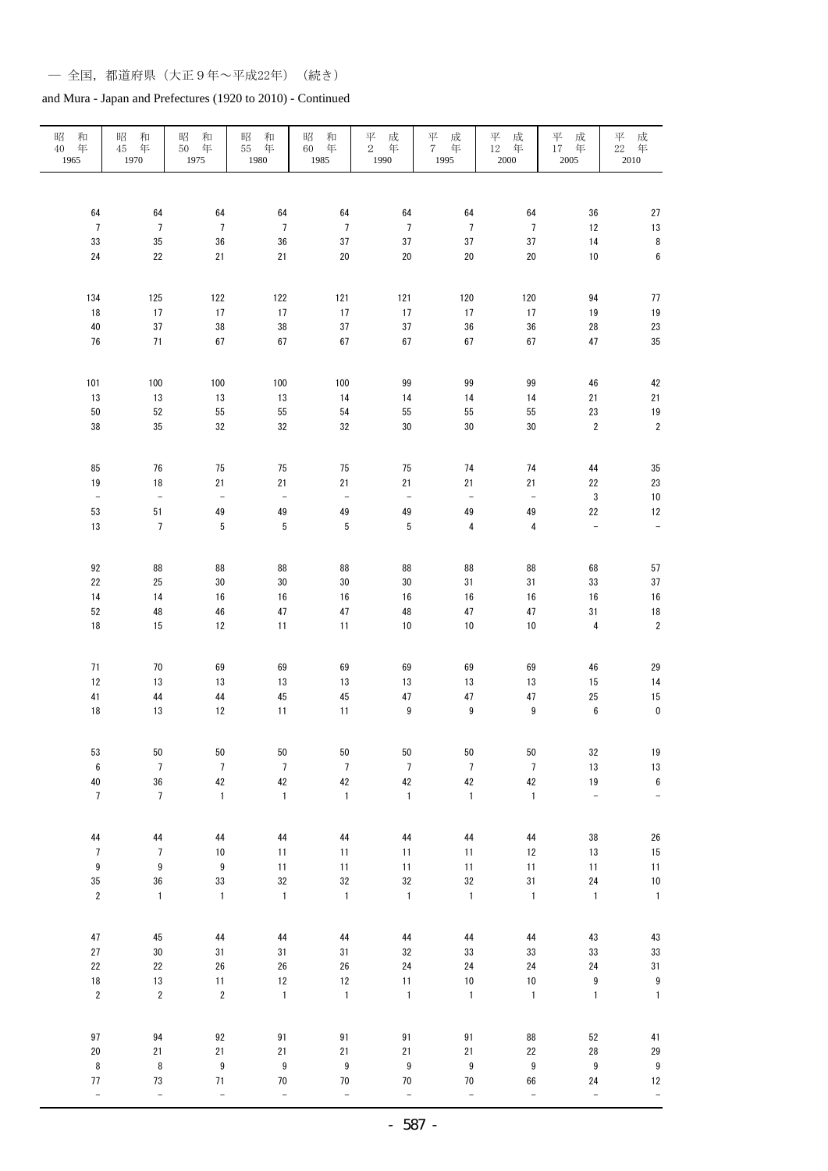| 昭<br>和<br>$40\,$<br>年<br>1965 | 昭<br>和<br>年<br>45<br>1970 | 昭<br>和<br>年<br>$50\,$<br>1975                 | 和<br>昭<br>55<br>年<br>1980 | 昭<br>和<br>$60\,$<br>年<br>1985 | 成<br>$_2^{\overline{\mathcal{F}}}$<br>年<br>1990 | $\frac{\overline{\psi}}{7}$<br>成<br>年<br>1995 | 成<br>平<br>$12\,$<br>年<br>$2000\,$ | 平<br>成<br>年<br>17<br>$2005\,$ | 平<br>成年<br>22<br>2010 |
|-------------------------------|---------------------------|-----------------------------------------------|---------------------------|-------------------------------|-------------------------------------------------|-----------------------------------------------|-----------------------------------|-------------------------------|-----------------------|
|                               |                           |                                               |                           |                               |                                                 |                                               |                                   |                               |                       |
| 64                            | 64                        | 64                                            | 64                        | 64                            | 64                                              | 64                                            | 64                                | 36                            | 27                    |
| $\overline{7}$                | $\overline{7}$            | $\overline{7}$                                | $\overline{7}$            | $\overline{7}$                | $\overline{7}$                                  | $\overline{7}$                                | $\overline{7}$                    | 12                            | 13                    |
| 33                            | 35                        | 36                                            | 36                        | 37                            | 37                                              | 37                                            | 37                                | 14                            | 8                     |
| $24\,$                        | 22                        | 21                                            | 21                        | 20                            | 20                                              | 20                                            | 20                                | $10$                          | $\boldsymbol{6}$      |
| 134                           | 125                       | 122                                           | 122                       | 121                           | 121                                             | 120                                           | 120                               | 94                            | 77                    |
| 18                            | 17                        | 17                                            | 17                        | 17                            | 17                                              | $17\,$                                        | 17                                | 19                            | 19                    |
| 40<br>76                      | 37<br>$71$                | 38<br>67                                      | 38<br>67                  | 37<br>67                      | 37<br>67                                        | 36<br>67                                      | 36<br>67                          | 28<br>47                      | 23<br>35              |
|                               |                           |                                               |                           |                               |                                                 |                                               |                                   |                               |                       |
| 101                           | 100                       | 100                                           | 100                       | 100                           | 99                                              | 99                                            | 99                                | 46                            | 42                    |
| 13                            | 13                        | 13                                            | 13                        | 14                            | 14                                              | 14                                            | 14                                | 21                            | 21                    |
| 50                            | 52                        | 55                                            | 55                        | 54                            | 55                                              | 55                                            | 55                                | 23                            | 19                    |
| 38                            | 35                        | 32                                            | 32                        | 32                            | 30                                              | $30\,$                                        | $30\,$                            | $\sqrt{2}$                    | $\sqrt{2}$            |
|                               |                           |                                               |                           |                               |                                                 |                                               |                                   |                               |                       |
| 85<br>19                      | 76<br>18                  | 75<br>21                                      | 75<br>21                  | 75<br>21                      | 75<br>21                                        | 74<br>21                                      | 74<br>21                          | 44<br>22                      | 35<br>23              |
| $\bar{\phantom{a}}$           | $\bar{\phantom{a}}$       | $\mathord{\hspace{1pt}\text{--}\hspace{1pt}}$ | ÷                         | $\equiv$                      | $\blacksquare$                                  | $\Box$                                        | $\bar{\phantom{a}}$               | $\sqrt{3}$                    | 10                    |
| 53                            | 51                        | 49                                            | 49                        | 49                            | 49                                              | 49                                            | 49                                | 22                            | $12\,$                |
| 13                            | $\overline{7}$            | 5                                             | 5                         | $5\,$                         | 5                                               | $\overline{\mathbf{4}}$                       | $\pmb{4}$                         | $\overline{\phantom{0}}$      | $\frac{1}{2}$         |
|                               |                           |                                               |                           |                               |                                                 |                                               |                                   |                               |                       |
| 92                            | 88                        | 88                                            | 88                        | 88                            | 88                                              | 88                                            | 88                                | 68                            | 57                    |
| 22                            | 25                        | $30\,$                                        | 30                        | 30                            | 30                                              | 31                                            | 31                                | 33                            | 37                    |
| 14                            | 14                        | 16                                            | 16                        | 16                            | 16                                              | 16                                            | 16                                | $16\,$                        | 16                    |
| 52                            | 48                        | ${\bf 46}$                                    | 47                        | $47\,$                        | 48                                              | 47                                            | 47                                | 31                            | 18                    |
| 18                            | 15                        | 12                                            | 11                        | 11                            | $10$                                            | 10                                            | 10                                | $\overline{\mathbf{4}}$       | $\overline{c}$        |
| 71                            | 70                        | 69                                            | 69                        | 69                            | 69                                              |                                               |                                   | 46                            |                       |
| 12                            | 13                        | 13                                            | 13                        | 13                            | 13                                              | 69<br>13                                      | 69<br>13                          | 15                            | 29<br>14              |
| 41                            | 44                        | 44                                            | $\bf 45$                  | 45                            | 47                                              | $47\,$                                        | 47                                | 25                            | 15                    |
| 18                            | 13                        | 12                                            | 11                        | 11                            | $\boldsymbol{9}$                                | $\boldsymbol{9}$                              | $\boldsymbol{9}$                  | $\boldsymbol{6}$              | $\mathbf 0$           |
|                               |                           |                                               |                           |                               |                                                 |                                               |                                   |                               |                       |
| 53                            | 50                        | ${\bf 50}$                                    | ${\bf 50}$                | 50                            | ${\bf 50}$                                      | $50\,$                                        | 50                                | $32\,$                        | 19                    |
| $\boldsymbol{6}$              | $\boldsymbol{7}$          | $\overline{\mathfrak{I}}$                     | $\sqrt{ }$                | $\boldsymbol{7}$              | $\boldsymbol{7}$                                | $\boldsymbol{7}$                              | $\boldsymbol{7}$                  | $13\,$                        | 13                    |
| 40                            | 36                        | 42                                            | 42                        | 42                            | $42\,$                                          | $42\,$                                        | $42\,$                            | $19\,$                        | $\boldsymbol{6}$      |
| $\boldsymbol{7}$              | $\overline{7}$            | $\mathbf{1}$                                  | $\mathbf 1$               | $\mathbf{1}$                  | $\mathbf{1}$                                    | $\mathbf 1$                                   | $\mathbf{1}$                      | $\overline{\phantom{0}}$      | $\qquad \qquad -$     |
| 44                            | 44                        | 44                                            | $\bf 44$                  | 44                            | 44                                              | ${\bf 44}$                                    | ${\bf 44}$                        | $38\,$                        | 26                    |
| $\overline{7}$                | $\overline{7}$            | $10$                                          | 11                        | 11                            | 11                                              | 11                                            | 12                                | $13\,$                        | 15                    |
| 9                             | $\boldsymbol{9}$          | 9                                             | 11                        | 11                            | 11                                              | 11                                            | 11                                | 11                            | 11                    |
| 35                            | 36                        | 33                                            | 32                        | 32                            | $32\,$                                          | $32\,$                                        | 31                                | 24                            | 10                    |
| $\sqrt{2}$                    | $\mathbf{1}$              | $\mathbf{1}$                                  | $\mathbf{1}$              | $\mathbf{1}$                  | $\mathbf 1$                                     | $\mathbf 1$                                   | $\mathbf 1$                       | $\mathbbm{1}$                 | $\mathbf{1}$          |
|                               |                           |                                               |                           |                               |                                                 |                                               |                                   |                               |                       |
| $47\,$                        | 45                        | 44                                            | 44                        | 44                            | 44                                              | ${\bf 44}$                                    | 44                                | $43\,$                        | 43                    |
| $27\,$<br>$22\,$              | 30<br>22                  | 31<br>26                                      | 31<br>$26\,$              | 31<br>$26\,$                  | 32<br>24                                        | 33<br>24                                      | $33\,$<br>24                      | 33<br>24                      | 33<br>31              |
| $18\,$                        | 13                        | 11                                            | $12\,$                    | 12                            | 11                                              | $10$                                          | 10                                | 9                             | 9                     |
| $\sqrt{2}$                    | $\sqrt{2}$                | $\sqrt{2}$                                    | $\mathbf{1}$              | $\mathbf{1}$                  | $\mathbf 1$                                     | $\mathbf 1$                                   | $\mathbf 1$                       | $\mathbb{1}$                  | $\mathbf{1}$          |
|                               |                           |                                               |                           |                               |                                                 |                                               |                                   |                               |                       |
| $97\,$                        | 94                        | 92                                            | 91                        | $91\,$                        | 91                                              | 91                                            | 88                                | 52                            | 41                    |
| $20\,$                        | 21                        | 21                                            | 21                        | $21\,$                        | 21                                              | 21                                            | 22                                | 28                            | 29                    |
| 8                             | $\bf 8$                   | 9                                             | 9                         | $\boldsymbol{9}$              | 9                                               | $\boldsymbol{9}$                              | 9                                 | $\boldsymbol{9}$              | 9                     |
| 77                            | $73\,$                    | $71\,$                                        | $70\,$                    | $70\,$                        | $70\,$                                          | $70\,$                                        | 66                                | 24                            | 12                    |
| $\Box$                        | $\qquad \qquad -$         | $\equiv$                                      | $\qquad \qquad -$         | $\blacksquare$                | $\qquad \qquad \blacksquare$                    | $\equiv$                                      | $\Box$                            | $\overline{\phantom{a}}$      | ÷                     |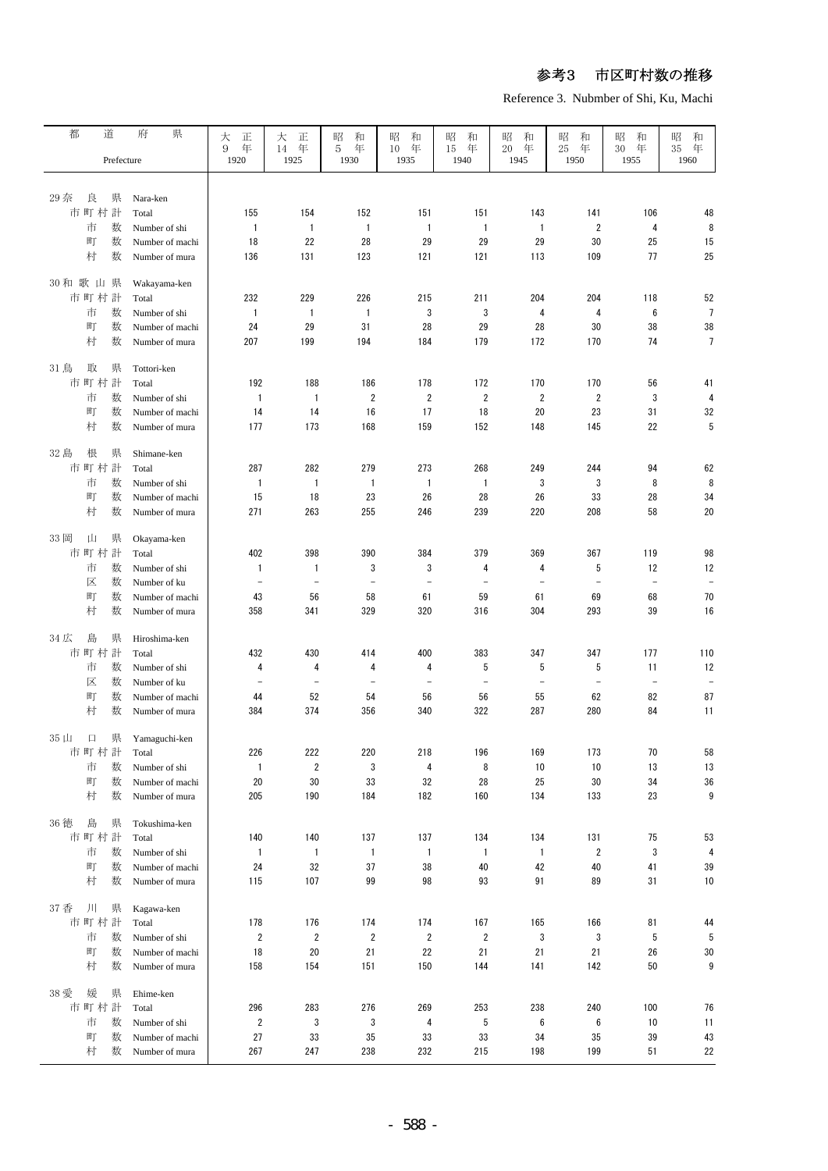Reference 3. Nubmber of Shi, Ku, Machi

| 都<br>道                  | 府<br>県                            | 大<br>正                   | 大<br>正                   | 昭<br>和<br>年              | 昭<br>和                   | 昭<br>和            | 昭<br>和                   | 昭<br>和                   | 昭<br>和                   | 和<br>昭               |
|-------------------------|-----------------------------------|--------------------------|--------------------------|--------------------------|--------------------------|-------------------|--------------------------|--------------------------|--------------------------|----------------------|
| Prefecture              |                                   | 年<br>9<br>1920           | 年<br>14<br>1925          | 5<br>1930                | 年<br>10<br>1935          | 年<br>15<br>1940   | 年<br>20<br>1945          | 25<br>年<br>1950          | 30<br>年<br>1955          | 年<br>35<br>1960      |
|                         |                                   |                          |                          |                          |                          |                   |                          |                          |                          |                      |
| 29 奈<br>県<br>良<br>市町村計  | Nara-ken<br>Total                 | 155                      | 154                      | 152                      | 151                      | 151               | 143                      | 141                      | 106                      | 48                   |
| 市<br>数                  | Number of shi                     | $\mathbf{1}$             | $\overline{1}$           | 1                        | $\mathbf{1}$             | 1                 | $\mathbf{1}$             | $\overline{2}$           | 4                        | 8                    |
| 数<br>町                  | Number of machi                   | 18                       | 22                       | 28                       | 29                       | 29                | 29                       | 30                       | 25                       | 15                   |
| 村<br>数                  | Number of mura                    | 136                      | 131                      | 123                      | 121                      | 121               | 113                      | 109                      | 77                       | 25                   |
|                         |                                   |                          |                          |                          |                          |                   |                          |                          |                          |                      |
| 30和歌山県                  | Wakayama-ken                      |                          |                          |                          |                          |                   |                          |                          |                          |                      |
| 市町村計                    | Total                             | 232                      | 229                      | 226                      | 215                      | 211               | 204                      | 204                      | 118                      | 52                   |
| 市<br>数<br>町<br>数        | Number of shi                     | $\mathbf{1}$<br>24       | $\mathbf{1}$<br>29       | $\mathbf{1}$<br>31       | 3<br>28                  | 3<br>29           | 4                        | 4<br>30                  | 6<br>38                  | $\overline{7}$<br>38 |
| 村<br>数                  | Number of machi<br>Number of mura | 207                      | 199                      | 194                      | 184                      | 179               | 28<br>172                | 170                      | 74                       | $\overline{7}$       |
|                         |                                   |                          |                          |                          |                          |                   |                          |                          |                          |                      |
| 取<br>31鳥<br>県           | Tottori-ken                       |                          |                          |                          |                          |                   |                          |                          |                          |                      |
| 市町村計                    | Total                             | 192                      | 188                      | 186                      | 178                      | 172               | 170                      | 170                      | 56                       | 41                   |
| 市<br>数                  | Number of shi                     | $\mathbf{1}$             | 1                        | 2                        | $\overline{2}$           | $\overline{2}$    | $\overline{2}$           | $\overline{2}$           | 3                        | 4                    |
| 町<br>数                  | Number of machi                   | 14                       | 14                       | 16                       | 17                       | 18                | 20                       | 23                       | 31                       | 32                   |
| 村<br>数                  | Number of mura                    | 177                      | 173                      | 168                      | 159                      | 152               | 148                      | 145                      | 22                       | 5                    |
| 32 島<br>根<br>県          | Shimane-ken                       |                          |                          |                          |                          |                   |                          |                          |                          |                      |
| 市町村計                    | Total                             | 287                      | 282                      | 279                      | 273                      | 268               | 249                      | 244                      | 94                       | 62                   |
| 市<br>数                  | Number of shi                     | 1                        | 1                        | $\overline{1}$           | $\mathbf{1}$             | 1                 | 3                        | 3                        | 8                        | 8                    |
| 町<br>数                  | Number of machi                   | 15                       | 18                       | 23                       | 26                       | 28                | 26                       | 33                       | 28                       | 34                   |
| 村<br>数                  | Number of mura                    | 271                      | 263                      | 255                      | 246                      | 239               | 220                      | 208                      | 58                       | 20                   |
| 33 岡<br>山<br>県          | Okayama-ken                       |                          |                          |                          |                          |                   |                          |                          |                          |                      |
| 市町村計                    | Total                             | 402                      | 398                      | 390                      | 384                      | 379               | 369                      | 367                      | 119                      | 98                   |
| 数<br>市                  | Number of shi                     | $\mathbf{1}$             | 1                        | 3                        | 3                        | 4                 | 4                        | 5                        | 12                       | 12                   |
| 区<br>数                  | Number of ku                      | $\overline{\phantom{0}}$ | $\overline{\phantom{0}}$ | $\overline{\phantom{m}}$ | $\overline{\phantom{m}}$ | $\qquad \qquad -$ | $\overline{\phantom{a}}$ | $\overline{\phantom{a}}$ | $\overline{\phantom{a}}$ | $\qquad \qquad -$    |
| 数<br>町                  | Number of machi                   | 43                       | 56                       | 58                       | 61                       | 59                | 61                       | 69                       | 68                       | 70                   |
| 村<br>数                  | Number of mura                    | 358                      | 341                      | 329                      | 320                      | 316               | 304                      | 293                      | 39                       | 16                   |
| 34 広<br>島<br>県          | Hiroshima-ken                     |                          |                          |                          |                          |                   |                          |                          |                          |                      |
| 市町村計                    | Total                             | 432                      | 430                      | 414                      | 400                      | 383               | 347                      | 347                      | 177                      | 110                  |
| 数<br>市                  | Number of shi                     | 4                        | 4                        | 4                        | 4                        | 5                 | 5                        | 5                        | 11                       | 12                   |
| 数<br>区                  | Number of ku                      | $\overline{\phantom{0}}$ | $\overline{\phantom{0}}$ | $\overline{\phantom{0}}$ | $\overline{\phantom{0}}$ | $\equiv$          | $\overline{\phantom{a}}$ | $\equiv$                 | $\overline{\phantom{a}}$ |                      |
| 町<br>数                  | Number of machi                   | 44                       | 52                       | 54                       | 56                       | 56                | 55                       | 62                       | 82                       | 87                   |
| 村<br>数                  | Number of mura                    | 384                      | 374                      | 356                      | 340                      | 322               | 287                      | 280                      | 84                       | 11                   |
| $35 \; \mu$<br>県<br>口   | Yamaguchi-ken                     |                          |                          |                          |                          |                   |                          |                          |                          |                      |
| 市町村計                    | Total                             | 226                      | 222                      | 220                      | 218                      | 196               | 169                      | 173                      | 70                       | 58                   |
| 市<br>数                  | Number of shi                     | 1                        | 2                        | 3                        | 4                        | 8                 | 10                       | 10                       | 13                       | 13                   |
| 町<br>数                  | Number of machi                   | 20                       | 30                       | 33                       | 32                       | 28                | 25                       | 30                       | 34                       | $36\,$               |
| 村<br>数                  | Number of mura                    | 205                      | 190                      | 184                      | 182                      | 160               | 134                      | 133                      | 23                       | 9                    |
| 36 徳<br>島<br>県          | Tokushima-ken                     |                          |                          |                          |                          |                   |                          |                          |                          |                      |
| 市町村計                    | Total                             | 140                      | 140                      | 137                      | 137                      | 134               | 134                      | 131                      | 75                       | 53                   |
| 市<br>数                  | Number of shi                     | $\mathbf{1}$             | 1                        | $\overline{1}$           | $\mathbf{1}$             | 1                 | $\mathbf{1}$             | $\overline{2}$           | 3                        | 4                    |
| 町<br>数                  | Number of machi                   | 24                       | 32                       | 37                       | 38                       | 40                | 42                       | 40                       | 41                       | 39                   |
| 村<br>数                  | Number of mura                    | 115                      | 107                      | 99                       | 98                       | 93                | 91                       | 89                       | 31                       | 10                   |
|                         |                                   |                          |                          |                          |                          |                   |                          |                          |                          |                      |
| ЛI<br>37 香<br>県<br>市町村計 | Kagawa-ken<br>Total               | 178                      | 176                      | 174                      | 174                      | 167               | 165                      | 166                      | 81                       |                      |
| 市<br>数                  | Number of shi                     | $\overline{2}$           | 2                        | $\overline{2}$           | $\overline{2}$           | $\overline{2}$    | 3                        | 3                        | 5                        | 44<br>5              |
| 町<br>数                  | Number of machi                   | 18                       | 20                       | 21                       | 22                       | 21                | 21                       | 21                       | 26                       | 30                   |
| 村<br>数                  | Number of mura                    | 158                      | 154                      | 151                      | 150                      | 144               | 141                      | 142                      | 50                       | 9                    |
|                         |                                   |                          |                          |                          |                          |                   |                          |                          |                          |                      |
| 38 愛<br>媛<br>県          | Ehime-ken                         |                          |                          |                          |                          |                   |                          |                          |                          |                      |
| 市町村計<br>市<br>数          | Total                             | 296<br>$\overline{2}$    | 283<br>3                 | 276<br>3                 | 269                      | 253<br>5          | 238<br>6                 | 240<br>6                 | 100<br>10                | 76<br>11             |
| 町<br>数                  | Number of shi<br>Number of machi  | 27                       | 33                       | 35                       | 4<br>33                  | 33                | 34                       | 35                       | 39                       | 43                   |
| 村<br>数                  | Number of mura                    | 267                      | 247                      | 238                      | 232                      | 215               | 198                      | 199                      | 51                       | 22                   |
|                         |                                   |                          |                          |                          |                          |                   |                          |                          |                          |                      |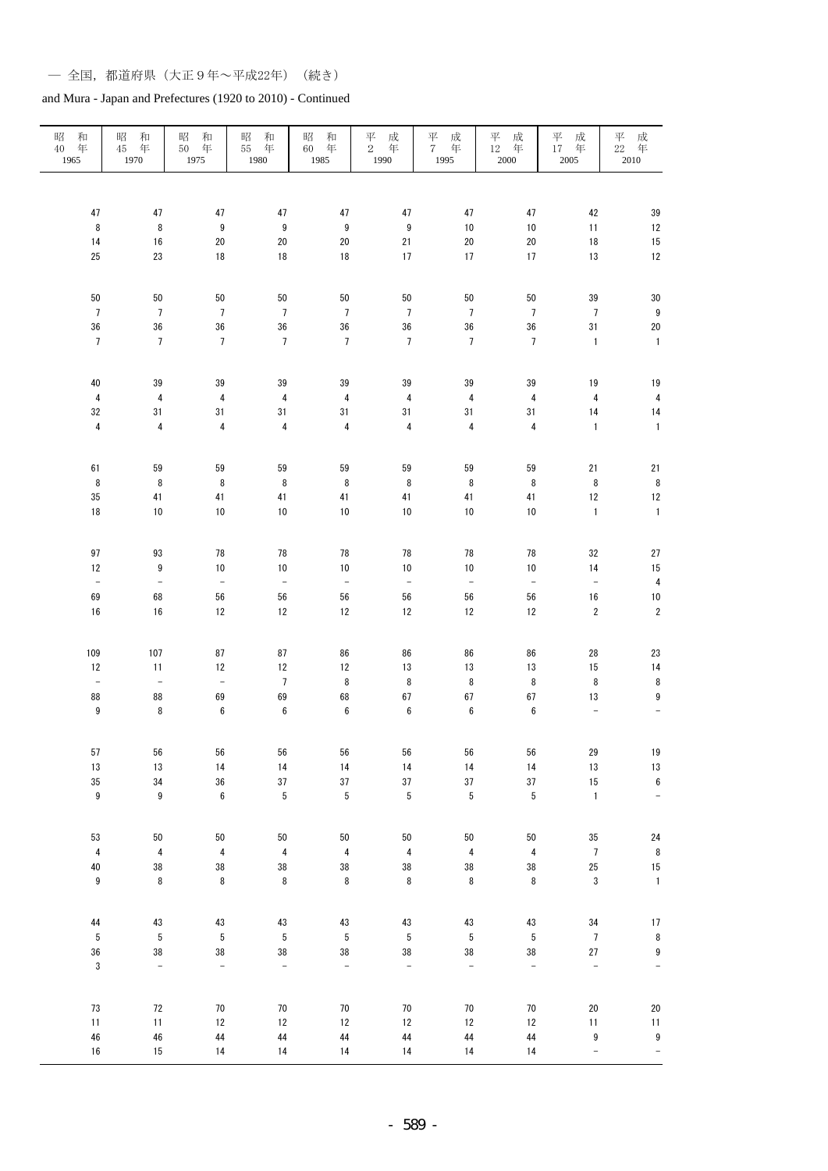| 昭<br>和<br>年<br>40<br>1965 | 昭<br>和<br>年<br>45<br>1970 | 昭<br>和<br>年<br>50<br>1975 | 昭<br>和<br>年<br>55<br>1980 | 昭<br>和<br>年<br>60<br>1985 | $_2^{\overrightarrow{+}}$<br>成年<br>1990 | 平<br>成<br>年<br>$7^{\circ}$<br>1995 | $_{12}^{\mp}$<br>成年<br>$2000\,$ | 平<br>成<br>$17$ 年<br>2005 | $_{22}^{\overline{\mathcal{F}}}$<br>成年<br>2010 |
|---------------------------|---------------------------|---------------------------|---------------------------|---------------------------|-----------------------------------------|------------------------------------|---------------------------------|--------------------------|------------------------------------------------|
|                           |                           |                           |                           |                           |                                         |                                    |                                 |                          |                                                |
| 47                        | $47\,$                    | 47                        | $47\,$                    | 47                        | 47                                      | $47\,$                             | 47                              | 42                       | 39                                             |
| $\, 8$                    | $\bf 8$                   | $\boldsymbol{9}$          | $\boldsymbol{9}$          | $\boldsymbol{9}$          | $\boldsymbol{9}$                        | $10$                               | $10$                            | 11                       | 12                                             |
| 14                        | 16                        | 20                        | $20\,$                    | $20\,$                    | 21                                      | 20                                 | $20\,$                          | $18\,$                   | 15                                             |
| 25                        | 23                        | 18                        | $18\,$                    | $18\,$                    | 17                                      | $17\,$                             | 17                              | $13\,$                   | 12                                             |
| 50                        | ${\bf 50}$                | 50                        | 50                        | 50                        | 50                                      | 50                                 | 50                              | 39                       | 30                                             |
| $\overline{7}$            | $\overline{7}$            | $\sqrt{ }$                | $7\phantom{.0}$           | $\overline{7}$            | $\overline{7}$                          | $\overline{7}$                     | $\overline{7}$                  | $\overline{7}$           | $\boldsymbol{9}$                               |
| $36\,$                    | 36                        | 36                        | $36\,$                    | 36                        | $36\,$                                  | 36                                 | 36                              | 31                       | 20                                             |
| $\overline{7}$            | $\overline{7}$            | $\sqrt{ }$                | $7\phantom{.0}$           | $\overline{7}$            | $\overline{7}$                          | $\overline{7}$                     | $\overline{7}$                  | $\mathbf{1}$             | $\mathbf{1}$                                   |
| 40                        | 39                        | 39                        | 39                        | 39                        | 39                                      | 39                                 | 39                              | 19                       | 19                                             |
| $\pmb{4}$                 | $\pmb{4}$                 | $\overline{\mathbf{4}}$   | $\pmb{4}$                 | $\pmb{4}$                 | $\sqrt{4}$                              | $\pmb{4}$                          | $\sqrt{4}$                      | $\pmb{4}$                | $\overline{4}$                                 |
| 32                        | 31                        | 31                        | 31                        | 31                        | 31                                      | 31                                 | 31                              | $14$                     | 14                                             |
| $\pmb{4}$                 | $\overline{\mathbf{4}}$   | $\sqrt{4}$                | $\overline{\mathbf{4}}$   | $\pmb{4}$                 | $\sqrt{4}$                              | $\overline{\mathbf{4}}$            | $\pmb{4}$                       | $\mathbf{1}$             | $\mathbf{1}$                                   |
| 61                        | 59                        | 59                        | 59                        | 59                        | 59                                      | 59                                 | 59                              | 21                       | 21                                             |
| $\bf 8$                   | $\bf 8$                   | 8                         | $\bf 8$                   | $\,$ 8 $\,$               | 8                                       | 8                                  | 8                               | $\bf 8$                  | 8                                              |
| 35                        | 41                        | 41                        | 41                        | 41                        | 41                                      | $41\,$                             | 41                              | $12\,$                   | 12                                             |
| $18\,$                    | $10\,$                    | 10                        | $10\,$                    | $10\,$                    | $10$                                    | $10$                               | $10\,$                          | $\mathbf{1}$             | $\mathbf{1}$                                   |
| 97                        | 93                        | 78                        | 78                        | 78                        | 78                                      | 78                                 | 78                              | 32                       | 27                                             |
| 12                        | $\boldsymbol{9}$          | 10                        | 10                        | $10\,$                    | $10$                                    | 10                                 | $10$                            | 14                       | 15                                             |
| $\equiv$                  | $\overline{\phantom{a}}$  | $\Box$                    | $\equiv$                  | $\equiv$                  | $\bar{\phantom{a}}$                     | $\Box$                             | $\Box$                          | $\Box$                   | $\overline{\mathbf{4}}$                        |
| 69                        | 68                        | 56                        | 56                        | 56                        | 56                                      | 56                                 | 56                              | $16\,$                   | 10                                             |
| 16                        | $16$                      | 12                        | 12                        | 12                        | 12                                      | 12                                 | $12\,$                          | $\sqrt{2}$               | $\sqrt{2}$                                     |
| 109                       | 107                       | 87                        | 87                        | 86                        | 86                                      | 86                                 | 86                              | 28                       | 23                                             |
| 12                        | 11                        | 12                        | 12                        | 12                        | 13                                      | 13                                 | 13                              | $15\,$                   | 14                                             |
| $\bar{\phantom{a}}$       | $\equiv$                  | $\equiv$                  | $\overline{7}$            | $\bf 8$                   | $\bf 8$                                 | 8                                  | $\, 8$                          | $\bf 8$                  | 8                                              |
| 88                        | 88                        | 69                        | 69                        | 68                        | 67                                      | $\sqrt{67}$                        | 67                              | $13\,$                   | 9                                              |
| $\boldsymbol{9}$          | 8                         | $\boldsymbol{6}$          | $\boldsymbol{6}$          | $\bf 6$                   | $\boldsymbol{6}$                        | $\boldsymbol{6}$                   | $\boldsymbol{6}$                | $\overline{\phantom{a}}$ | $\qquad \qquad -$                              |
| $57\,$                    | 56                        | 56                        | 56                        | 56                        | 56                                      | 56                                 | 56                              | 29                       | $19$                                           |
| $13\,$                    | $13\,$                    | 14                        | 14                        | 14                        | 14                                      | $14$                               | $14$                            | $13\,$                   | 13                                             |
| $35\,$                    | 34                        | 36                        | $37\,$                    | $37\,$                    | 37                                      | 37                                 | $37\,$                          | 15                       | $\boldsymbol{6}$                               |
| 9                         | 9                         | $\bf 6$                   | $\sqrt{5}$                | $\sqrt{5}$                | $\sqrt{5}$                              | 5                                  | $\sqrt{5}$                      | $\mathbf 1$              | $\blacksquare$                                 |
| 53                        | 50                        | $50\,$                    | 50                        | $50\,$                    | 50                                      | 50                                 | $50\,$                          | 35                       | 24                                             |
| $\pmb{4}$                 | $\pmb{4}$                 | $\overline{\mathbf{4}}$   | $\pmb{4}$                 | $\pmb{4}$                 | $\overline{\mathbf{4}}$                 | $\pmb{4}$                          | $\overline{\mathbf{4}}$         | $\overline{7}$           | 8                                              |
| $40\,$                    | 38                        | 38                        | $38\,$                    | $38\,$                    | $38\,$                                  | $38\,$                             | 38                              | $25\,$                   | 15                                             |
| 9                         | 8                         | $\bf 8$                   | $\bf 8$                   | 8                         | 8                                       | 8                                  | $\bf 8$                         | $\mathfrak z$            | $\mathbf{1}$                                   |
| 44                        | $43\,$                    | $43\,$                    | $43\,$                    | $43\,$                    | $43\,$                                  | $43\,$                             | $43\,$                          | $34\,$                   | 17                                             |
| 5                         | $\sqrt{5}$                | $\sqrt{5}$                | $\sqrt{5}$                | 5                         | $\sqrt{5}$                              | $\sqrt{5}$                         | $\sqrt{5}$                      | $\sqrt{ }$               | $\bf 8$                                        |
| $36\,$<br>3               | 38<br>$\equiv$            | 38<br>$\equiv$            | $38\,$<br>$\frac{1}{2}$   | 38<br>$\blacksquare$      | 38<br>$\blacksquare$                    | 38<br>÷,                           | $38\,$<br>$\equiv$              | $27\,$<br>$\equiv$       | $\boldsymbol{9}$<br>$\frac{1}{2}$              |
|                           |                           |                           |                           |                           |                                         |                                    |                                 |                          |                                                |
| 73                        | $72\,$                    | $70\,$                    | $70\,$                    | $70\,$                    | 70                                      | $70\,$                             | 70                              | $20\,$                   | 20                                             |
| 11                        | 11                        | 12                        | $12\,$                    | $12\,$                    | $12\,$                                  | 12                                 | 12                              | 11                       | 11                                             |
| ${\bf 46}$                | ${\bf 46}$                | 44                        | 44                        | 44                        | 44                                      | 44                                 | 44                              | $\boldsymbol{9}$         | $\boldsymbol{9}$                               |
| 16                        | $15\,$                    | 14                        | 14                        | 14                        | 14                                      | 14                                 | 14                              | $\Box$                   | $\ddot{\phantom{1}}$                           |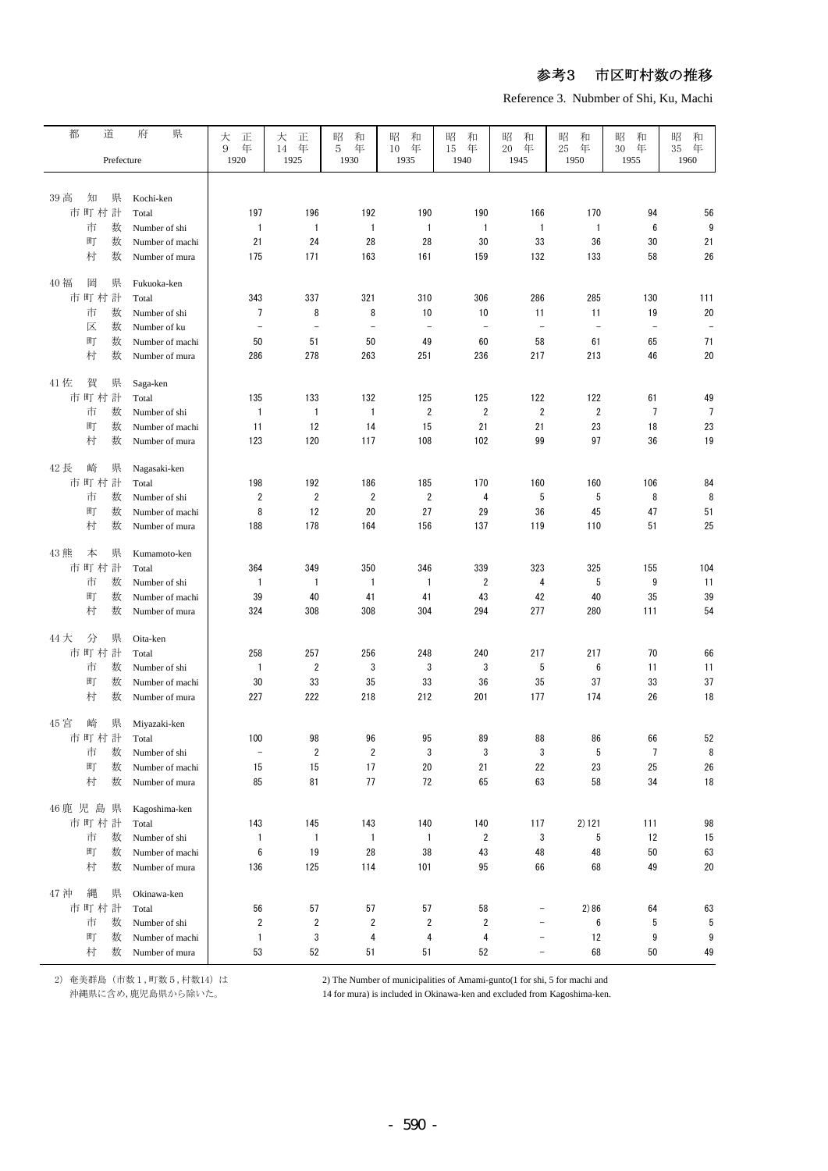Reference 3. Nubmber of Shi, Ku, Machi

| 都       | 道                | 県<br>府                            |                          |                          |                          |                          |                   |                          |                          |                   |                   |
|---------|------------------|-----------------------------------|--------------------------|--------------------------|--------------------------|--------------------------|-------------------|--------------------------|--------------------------|-------------------|-------------------|
|         |                  |                                   | 大<br>正<br>9<br>年         | 大<br>正<br>年<br>14        | 昭<br>和<br>年<br>5         | 昭<br>和<br>年<br>10        | 和<br>昭<br>年<br>15 | 昭<br>和<br>年<br>20        | 昭<br>和<br>年<br>25        | 昭<br>和<br>年<br>30 | 和<br>昭<br>年<br>35 |
|         | Prefecture       |                                   | 1920                     | 1925                     | 1930                     | 1935                     | 1940              | 1945                     | 1950                     | 1955              | 1960              |
|         |                  |                                   |                          |                          |                          |                          |                   |                          |                          |                   |                   |
| 39 高    | 知<br>県           | Kochi-ken                         |                          |                          |                          |                          |                   |                          |                          |                   |                   |
|         | 市町村計             | Total                             | 197                      | 196                      | 192                      | 190                      | 190               | 166                      | 170                      | 94                | 56                |
|         | 市<br>数           | Number of shi                     | $\mathbf{1}$             | $\mathbf{1}$             | $\mathbf{1}$             | $\mathbf{1}$             | $\mathbf{1}$      | $\mathbf{1}$             | $\mathbf{1}$             | 6                 | 9                 |
|         | 町<br>数           | Number of machi                   | 21                       | 24                       | 28                       | 28                       | 30                | 33                       | 36                       | 30                | 21                |
|         | 村<br>数           | Number of mura                    | 175                      | 171                      | 163                      | 161                      | 159               | 132                      | 133                      | 58                | 26                |
|         |                  |                                   |                          |                          |                          |                          |                   |                          |                          |                   |                   |
| 40 福    | 岡<br>県           | Fukuoka-ken                       |                          |                          |                          |                          |                   |                          |                          |                   |                   |
|         | 市町村計             | Total                             | 343                      | 337                      | 321                      | 310                      | 306               | 286                      | 285                      | 130               | 111               |
|         | 数<br>市           | Number of shi                     | 7                        | 8                        | 8                        | 10                       | 10                | 11                       | 11                       | 19                | 20                |
|         | 区<br>数           | Number of ku                      | $\overline{\phantom{a}}$ | $\overline{\phantom{a}}$ | $\overline{\phantom{a}}$ | $\overline{\phantom{a}}$ | $\equiv$          | $\overline{\phantom{a}}$ | $\overline{\phantom{a}}$ | $\frac{1}{2}$     | $\overline{a}$    |
|         | 町<br>数           | Number of machi                   | 50                       | 51                       | 50                       | 49                       | 60                | 58                       | 61                       | 65                | 71                |
|         | 村<br>数           | Number of mura                    | 286                      | 278                      | 263                      | 251                      | 236               | 217                      | 213                      | 46                | 20                |
|         |                  |                                   |                          |                          |                          |                          |                   |                          |                          |                   |                   |
| 41 佐    | 賀<br>県           | Saga-ken                          |                          |                          |                          |                          |                   |                          |                          |                   |                   |
|         | 市町村計             | Total                             | 135                      | 133                      | 132                      | 125                      | 125               | 122                      | 122                      | 61                | 49                |
|         | 市<br>数           | Number of shi                     | $\mathbf{1}$             | $\mathbf{1}$             | $\mathbf{1}$             | $\overline{2}$           | $\overline{2}$    | $\overline{2}$           | $\overline{2}$           | 7                 | $\overline{7}$    |
|         | 町<br>数           | Number of machi                   | 11                       | 12                       | 14                       | 15                       | 21                | 21                       | 23                       | 18                | 23                |
|         | 村<br>数           | Number of mura                    | 123                      | 120                      | 117                      | 108                      | 102               | 99                       | 97                       | 36                | 19                |
| 42長     | 崎<br>県           | Nagasaki-ken                      |                          |                          |                          |                          |                   |                          |                          |                   |                   |
|         | 市町村計             | Total                             | 198                      | 192                      | 186                      | 185                      | 170               | 160                      | 160                      | 106               | 84                |
|         | 数<br>市           | Number of shi                     | 2                        | $\overline{2}$           | $\overline{2}$           | 2                        | 4                 | 5                        | 5                        | 8                 | 8                 |
|         | 町<br>数           | Number of machi                   | 8                        | 12                       | 20                       | 27                       | 29                | 36                       | 45                       | 47                | 51                |
|         | 村<br>数           | Number of mura                    | 188                      | 178                      | 164                      | 156                      | 137               | 119                      | 110                      | 51                | 25                |
|         |                  |                                   |                          |                          |                          |                          |                   |                          |                          |                   |                   |
| 43 熊    | 本<br>県           | Kumamoto-ken                      |                          |                          |                          |                          |                   |                          |                          |                   |                   |
|         | 市町村計             | Total                             | 364                      | 349                      | 350                      | 346                      | 339               | 323                      | 325                      | 155               | 104               |
|         | 市<br>数           | Number of shi                     | $\mathbf{1}$             | $\mathbf{1}$             | $\mathbf{1}$             | $\mathbf{1}$             | $\overline{2}$    | 4                        | 5                        | 9                 | 11                |
|         | 町<br>数           | Number of machi                   | 39                       | 40                       | 41                       | 41                       | 43                | 42                       | 40                       | 35                | 39                |
|         | 村<br>数           | Number of mura                    | 324                      | 308                      | 308                      | 304                      | 294               | 277                      | 280                      | 111               | 54                |
|         |                  |                                   |                          |                          |                          |                          |                   |                          |                          |                   |                   |
| 44 大    | 分<br>県           | Oita-ken                          |                          |                          |                          |                          |                   |                          |                          |                   |                   |
|         | 市町村計             | Total                             | 258                      | 257<br>$\overline{2}$    | 256<br>3                 | 248<br>3                 | 240<br>3          | 217<br>5                 | 217<br>6                 | 70<br>11          | 66                |
|         | 市<br>数<br>町<br>数 | Number of shi                     | $\mathbf{1}$<br>30       | 33                       | 35                       | 33                       | 36                | 35                       | 37                       | 33                | 11<br>37          |
|         | 村<br>数           | Number of machi<br>Number of mura | 227                      | 222                      | 218                      | 212                      | 201               | 177                      | 174                      | 26                | 18                |
|         |                  |                                   |                          |                          |                          |                          |                   |                          |                          |                   |                   |
| 45 宮    | 崎<br>県           | Miyazaki-ken                      |                          |                          |                          |                          |                   |                          |                          |                   |                   |
|         | 市町村計             | Total                             | 100                      | 98                       | 96                       | 95                       | 89                | 88                       | 86                       | 66                | 52                |
|         | 市<br>数           | Number of shi                     | $\qquad \qquad -$        | $\sqrt{2}$               | $\overline{2}$           | 3                        | 3                 | 3                        | 5                        | $\overline{7}$    | 8                 |
|         | 町<br>数           | Number of machi                   | 15                       | 15                       | 17                       | 20                       | 21                | 22                       | 23                       | 25                | 26                |
|         | 村<br>数           | Number of mura                    | 85                       | 81                       | 77                       | 72                       | 65                | 63                       | 58                       | 34                | $18\,$            |
|         |                  |                                   |                          |                          |                          |                          |                   |                          |                          |                   |                   |
| 46 鹿児島県 |                  | Kagoshima-ken                     |                          |                          |                          |                          |                   |                          |                          |                   |                   |
|         | 市町村計             | Total                             | 143                      | 145                      | 143                      | 140                      | 140               | 117                      | 2) 121                   | 111               | 98                |
|         | 市<br>数           | Number of shi                     | $\mathbf{1}$             | $\mathbf{1}$             | $\mathbf{1}$             | $\mathbf{1}$             | $\overline{2}$    | 3                        | 5                        | 12                | 15                |
|         | 町<br>数           | Number of machi                   | 6                        | 19                       | 28                       | 38                       | 43                | 48                       | 48                       | 50                | 63                |
|         | 村<br>数           | Number of mura                    | 136                      | 125                      | 114                      | 101                      | 95                | 66                       | 68                       | 49                | 20                |
| 47 沖    | 縄<br>県           | Okinawa-ken                       |                          |                          |                          |                          |                   |                          |                          |                   |                   |
|         | 市町村計             | Total                             | 56                       | 57                       | 57                       | 57                       | 58                | $\qquad \qquad -$        | 2)86                     | 64                | 63                |
|         | 市<br>数           | Number of shi                     | 2                        | 2                        | 2                        | $\overline{\mathbf{c}}$  | $\overline{2}$    | $\qquad \qquad -$        | 6                        | 5                 | 5                 |
|         | 町<br>数           | Number of machi                   | $\mathbf{1}$             | 3                        | 4                        | 4                        | 4                 | $\qquad \qquad -$        | 12                       | 9                 | 9                 |
|         | 村<br>数           | Number of mura                    | 53                       | 52                       | 51                       | 51                       | 52                | $\qquad \qquad -$        | 68                       | 50                | 49                |

2) 奄美群島(市数1,町数5,村数14) は 2) The Number of municipalities of Amami-gunto(1 for shi, 5 for machi and

沖縄県に含め,鹿児島県から除いた。 14 for mura) is included in Okinawa-ken and excluded from Kagoshima-ken.